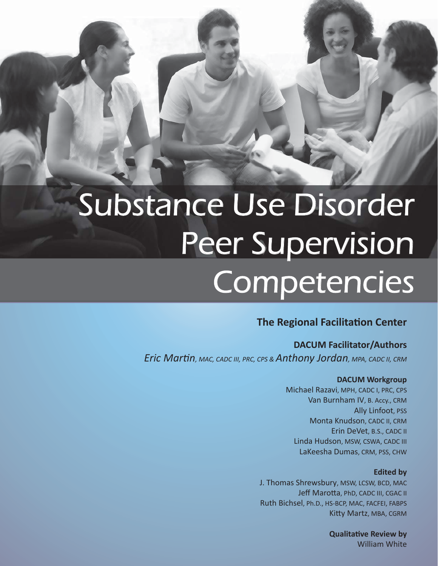# Substance Use Disorder Peer Supervision **Competencies**

### **The Regional Facilitation Center**

### **DACUM Facilitator/Authors**

*Eric MarƟn, MAC, CADC III, PRC, CPS & Anthony Jordan, MPA, CADC II, CRM*

#### **DACUM Workgroup**

Michael Razavi, MPH, CADC I, PRC, CPS Van Burnham IV, B. Accy., CRM Ally Linfoot, PSS Monta Knudson, CADC II, CRM Erin DeVet, B.S., CADC II Linda Hudson, MSW, CSWA, CADC III LaKeesha Dumas, CRM, PSS, CHW

#### **Edited by**

J. Thomas Shrewsbury, MSW, LCSW, BCD, MAC Jeff Marotta, PhD, CADC III, CGAC II Ruth Bichsel, Ph.D., HS-BCP, MAC, FACFEI, FABPS Kitty Martz, MBA, CGRM

> **QualitaƟve Review by** William White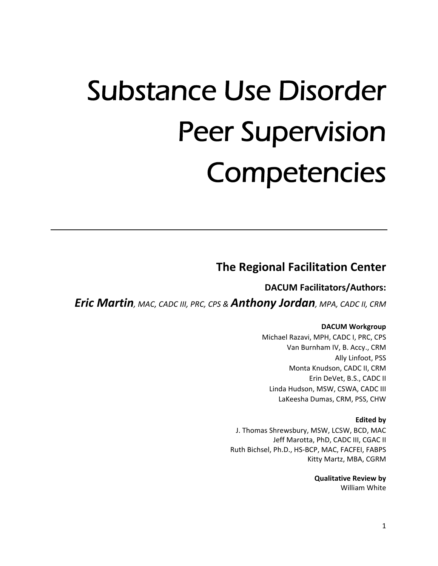# Substance Use Disorder Peer Supervision **Competencies**

## **The Regional Facilitation Center**

**DACUM Facilitators/Authors:**

*Eric Martin, MAC, CADC III, PRC, CPS & Anthony Jordan, MPA, CADC II, CRM*

#### **DACUM Workgroup**

Michael Razavi, MPH, CADC I, PRC, CPS Van Burnham IV, B. Accy., CRM Ally Linfoot, PSS Monta Knudson, CADC II, CRM Erin DeVet, B.S., CADC II Linda Hudson, MSW, CSWA, CADC III LaKeesha Dumas, CRM, PSS, CHW

#### **Edited by**

J. Thomas Shrewsbury, MSW, LCSW, BCD, MAC Jeff Marotta, PhD, CADC III, CGAC II Ruth Bichsel, Ph.D., HS‐BCP, MAC, FACFEI, FABPS Kitty Martz, MBA, CGRM

> **Qualitative Review by** William White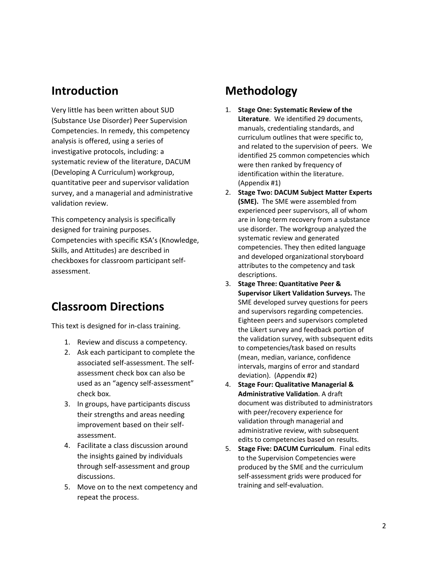## **Introduction**

Very little has been written about SUD (Substance Use Disorder) Peer Supervision Competencies. In remedy, this competency analysis is offered, using a series of investigative protocols, including: a systematic review of the literature, DACUM (Developing A Curriculum) workgroup, quantitative peer and supervisor validation survey, and a managerial and administrative validation review.

This competency analysis is specifically designed for training purposes. Competencies with specific KSA's (Knowledge, Skills, and Attitudes) are described in checkboxes for classroom participant self‐ assessment.

## **Classroom Directions**

This text is designed for in‐class training.

- 1. Review and discuss a competency.
- 2. Ask each participant to complete the associated self‐assessment. The self‐ assessment check box can also be used as an "agency self‐assessment" check box.
- 3. In groups, have participants discuss their strengths and areas needing improvement based on their self‐ assessment.
- 4. Facilitate a class discussion around the insights gained by individuals through self‐assessment and group discussions.
- 5. Move on to the next competency and repeat the process.

## **Methodology**

- 1. **Stage One: Systematic Review of the Literature**. We identified 29 documents, manuals, credentialing standards, and curriculum outlines that were specific to, and related to the supervision of peers. We identified 25 common competencies which were then ranked by frequency of identification within the literature. (Appendix #1)
- 2. **Stage Two: DACUM Subject Matter Experts (SME).** The SME were assembled from experienced peer supervisors, all of whom are in long‐term recovery from a substance use disorder. The workgroup analyzed the systematic review and generated competencies. They then edited language and developed organizational storyboard attributes to the competency and task descriptions.
- 3. **Stage Three: Quantitative Peer & Supervisor Likert Validation Surveys.** The SME developed survey questions for peers and supervisors regarding competencies. Eighteen peers and supervisors completed the Likert survey and feedback portion of the validation survey, with subsequent edits to competencies/task based on results (mean, median, variance, confidence intervals, margins of error and standard deviation). (Appendix #2)
- 4. **Stage Four: Qualitative Managerial & Administrative Validation**. A draft document was distributed to administrators with peer/recovery experience for validation through managerial and administrative review, with subsequent edits to competencies based on results.
- 5. **Stage Five: DACUM Curriculum**. Final edits to the Supervision Competencies were produced by the SME and the curriculum self‐assessment grids were produced for training and self‐evaluation.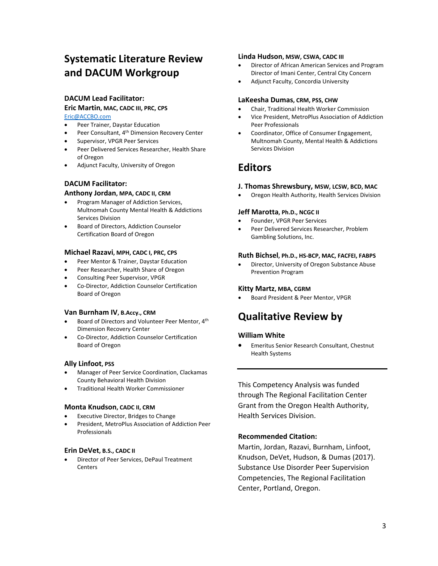## **Systematic Literature Review and DACUM Workgroup**

#### **DACUM Lead Facilitator:**

#### **Eric Martin, MAC, CADC III, PRC, CPS**

Eric@ACCBO.com

- Peer Trainer, Daystar Education
- Peer Consultant, 4th Dimension Recovery Center
- Supervisor, VPGR Peer Services
- Peer Delivered Services Researcher, Health Share of Oregon
- Adjunct Faculty, University of Oregon

#### **DACUM Facilitator:**

#### **Anthony Jordan, MPA, CADC II, CRM**

- Program Manager of Addiction Services, Multnomah County Mental Health & Addictions Services Division
- Board of Directors, Addiction Counselor Certification Board of Oregon

#### **Michael Razavi, MPH, CADC I, PRC, CPS**

- **•** Peer Mentor & Trainer, Daystar Education
- Peer Researcher, Health Share of Oregon
- Consulting Peer Supervisor, VPGR
- Co‐Director, Addiction Counselor Certification Board of Oregon

#### **Van Burnham IV, B.Accy., CRM**

- Board of Directors and Volunteer Peer Mentor, 4th Dimension Recovery Center
- Co‐Director, Addiction Counselor Certification Board of Oregon

#### **Ally Linfoot, PSS**

- Manager of Peer Service Coordination, Clackamas County Behavioral Health Division
- Traditional Health Worker Commissioner

#### **Monta Knudson, CADC II, CRM**

- Executive Director, Bridges to Change
- President, MetroPlus Association of Addiction Peer Professionals

#### **Erin DeVet, B.S., CADC II**

 Director of Peer Services, DePaul Treatment **Centers** 

#### **Linda Hudson, MSW, CSWA, CADC III**

- Director of African American Services and Program Director of Imani Center, Central City Concern
- Adjunct Faculty, Concordia University

#### **LaKeesha Dumas, CRM, PSS, CHW**

- Chair, Traditional Health Worker Commission
- Vice President, MetroPlus Association of Addiction Peer Professionals
- Coordinator, Office of Consumer Engagement, Multnomah County, Mental Health & Addictions Services Division

### **Editors**

#### **J. Thomas Shrewsbury, MSW, LCSW, BCD, MAC**

Oregon Health Authority, Health Services Division

#### **Jeff Marotta, Ph.D., NCGC II**

- Founder, VPGR Peer Services
- Peer Delivered Services Researcher, Problem Gambling Solutions, Inc.

#### **Ruth Bichsel, Ph.D., HS‐BCP, MAC, FACFEI, FABPS**

 Director, University of Oregon Substance Abuse Prevention Program

#### **Kitty Martz, MBA, CGRM**

Board President & Peer Mentor, VPGR

## **Qualitative Review by**

#### **William White**

 Emeritus Senior Research Consultant, Chestnut Health Systems

This Competency Analysis was funded through The Regional Facilitation Center Grant from the Oregon Health Authority, Health Services Division.

#### **Recommended Citation:**

Martin, Jordan, Razavi, Burnham, Linfoot, Knudson, DeVet, Hudson, & Dumas (2017). Substance Use Disorder Peer Supervision Competencies, The Regional Facilitation Center, Portland, Oregon.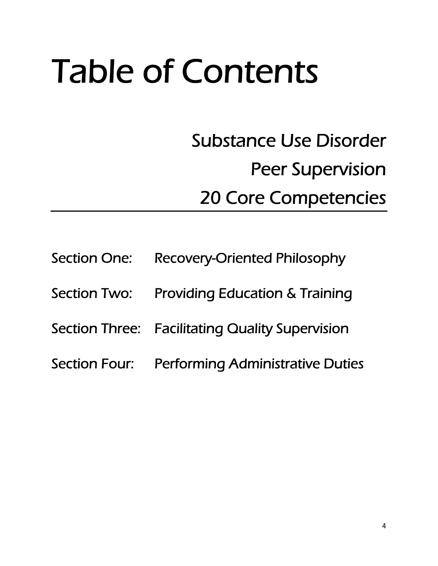# Table of Contents

Substance Use Disorder Peer Supervision 20 Core Competencies

| Section One: Recovery-Oriented Philosophy       |
|-------------------------------------------------|
| Section Two: Providing Education & Training     |
| Section Three: Facilitating Quality Supervision |
| Section Four: Performing Administrative Duties  |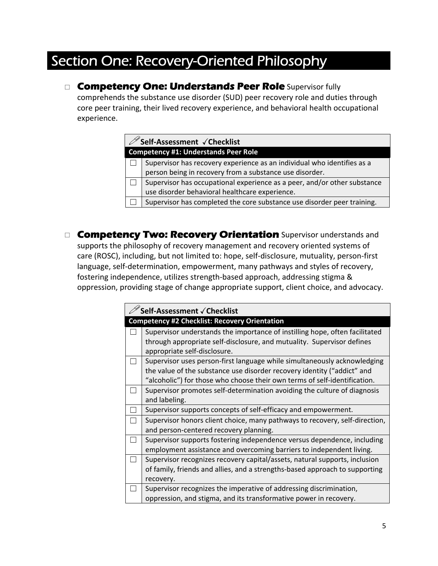## Section One: Recovery-Oriented Philosophy

**Competency One: Understands Peer Role** Supervisor fully comprehends the substance use disorder (SUD) peer recovery role and duties through core peer training, their lived recovery experience, and behavioral health occupational experience.

|                                             | $^{\mathscr{D}}$ Self-Assessment $\sqrt{}$ Checklist                     |  |
|---------------------------------------------|--------------------------------------------------------------------------|--|
| <b>Competency #1: Understands Peer Role</b> |                                                                          |  |
|                                             | Supervisor has recovery experience as an individual who identifies as a  |  |
|                                             | person being in recovery from a substance use disorder.                  |  |
|                                             | Supervisor has occupational experience as a peer, and/or other substance |  |
|                                             | use disorder behavioral healthcare experience.                           |  |
|                                             | Supervisor has completed the core substance use disorder peer training.  |  |

**Competency Two: Recovery Orientation** Supervisor understands and supports the philosophy of recovery management and recovery oriented systems of care (ROSC), including, but not limited to: hope, self‐disclosure, mutuality, person‐first language, self-determination, empowerment, many pathways and styles of recovery, fostering independence, utilizes strength‐based approach, addressing stigma & oppression, providing stage of change appropriate support, client choice, and advocacy.

| Self-Assessment √ Checklist                                                 |  |
|-----------------------------------------------------------------------------|--|
| <b>Competency #2 Checklist: Recovery Orientation</b>                        |  |
| Supervisor understands the importance of instilling hope, often facilitated |  |
| through appropriate self-disclosure, and mutuality. Supervisor defines      |  |
| appropriate self-disclosure.                                                |  |
| Supervisor uses person-first language while simultaneously acknowledging    |  |
| the value of the substance use disorder recovery identity ("addict" and     |  |
| "alcoholic") for those who choose their own terms of self-identification.   |  |
| Supervisor promotes self-determination avoiding the culture of diagnosis    |  |
| and labeling.                                                               |  |
| Supervisor supports concepts of self-efficacy and empowerment.              |  |
| Supervisor honors client choice, many pathways to recovery, self-direction, |  |
| and person-centered recovery planning.                                      |  |
| Supervisor supports fostering independence versus dependence, including     |  |
| employment assistance and overcoming barriers to independent living.        |  |
| Supervisor recognizes recovery capital/assets, natural supports, inclusion  |  |
| of family, friends and allies, and a strengths-based approach to supporting |  |
| recovery.                                                                   |  |
| Supervisor recognizes the imperative of addressing discrimination,          |  |
| oppression, and stigma, and its transformative power in recovery.           |  |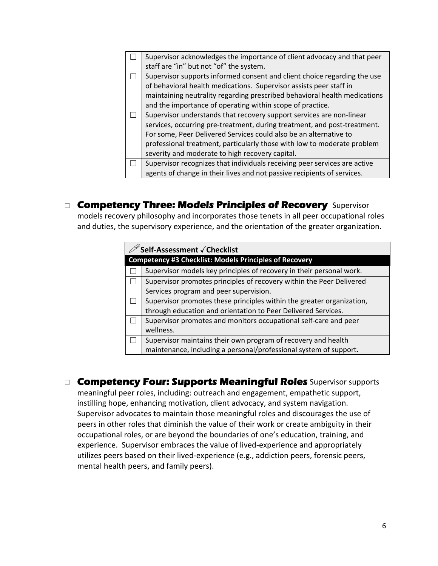| Supervisor acknowledges the importance of client advocacy and that peer<br>staff are "in" but not "of" the system.                             |
|------------------------------------------------------------------------------------------------------------------------------------------------|
| Supervisor supports informed consent and client choice regarding the use<br>of behavioral health medications. Supervisor assists peer staff in |
| maintaining neutrality regarding prescribed behavioral health medications                                                                      |
| and the importance of operating within scope of practice.                                                                                      |
| Supervisor understands that recovery support services are non-linear                                                                           |
| services, occurring pre-treatment, during treatment, and post-treatment.                                                                       |
| For some, Peer Delivered Services could also be an alternative to                                                                              |
| professional treatment, particularly those with low to moderate problem                                                                        |
| severity and moderate to high recovery capital.                                                                                                |
| Supervisor recognizes that individuals receiving peer services are active                                                                      |
| agents of change in their lives and not passive recipients of services.                                                                        |

## **Competency Three: Models Principles of Recovery** Supervisor models recovery philosophy and incorporates those tenets in all peer occupational roles

and duties, the supervisory experience, and the orientation of the greater organization.

| <sup>'</sup> Self-Assessment √ Checklist                              |  |
|-----------------------------------------------------------------------|--|
| <b>Competency #3 Checklist: Models Principles of Recovery</b>         |  |
| Supervisor models key principles of recovery in their personal work.  |  |
| Supervisor promotes principles of recovery within the Peer Delivered  |  |
| Services program and peer supervision.                                |  |
| Supervisor promotes these principles within the greater organization, |  |
| through education and orientation to Peer Delivered Services.         |  |
| Supervisor promotes and monitors occupational self-care and peer      |  |
| wellness.                                                             |  |
| Supervisor maintains their own program of recovery and health         |  |
| maintenance, including a personal/professional system of support.     |  |

 **Competency Four: Supports Meaningful Roles** Supervisor supports meaningful peer roles, including: outreach and engagement, empathetic support, instilling hope, enhancing motivation, client advocacy, and system navigation. Supervisor advocates to maintain those meaningful roles and discourages the use of peers in other roles that diminish the value of their work or create ambiguity in their occupational roles, or are beyond the boundaries of one's education, training, and experience. Supervisor embraces the value of lived‐experience and appropriately utilizes peers based on their lived‐experience (e.g., addiction peers, forensic peers, mental health peers, and family peers).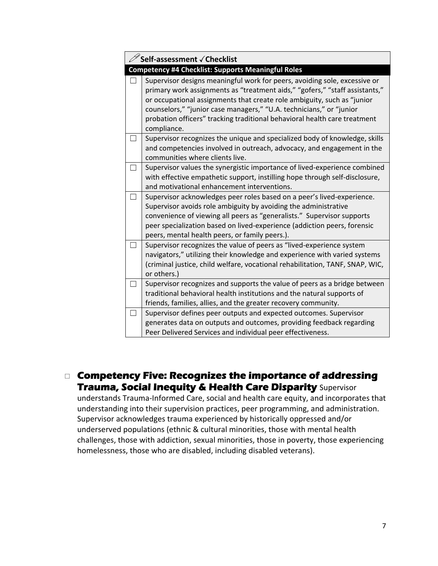| <b>Self-assessment √Checklist</b>                                                                                                                                                                                                                                                                                                                                                                      |  |
|--------------------------------------------------------------------------------------------------------------------------------------------------------------------------------------------------------------------------------------------------------------------------------------------------------------------------------------------------------------------------------------------------------|--|
| <b>Competency #4 Checklist: Supports Meaningful Roles</b>                                                                                                                                                                                                                                                                                                                                              |  |
| Supervisor designs meaningful work for peers, avoiding sole, excessive or<br>primary work assignments as "treatment aids," "gofers," "staff assistants,"<br>or occupational assignments that create role ambiguity, such as "junior<br>counselors," "junior case managers," "U.A. technicians," or "junior<br>probation officers" tracking traditional behavioral health care treatment<br>compliance. |  |
| Supervisor recognizes the unique and specialized body of knowledge, skills<br>and competencies involved in outreach, advocacy, and engagement in the<br>communities where clients live.                                                                                                                                                                                                                |  |
| Supervisor values the synergistic importance of lived-experience combined<br>with effective empathetic support, instilling hope through self-disclosure,<br>and motivational enhancement interventions.                                                                                                                                                                                                |  |
| Supervisor acknowledges peer roles based on a peer's lived-experience.<br>Supervisor avoids role ambiguity by avoiding the administrative<br>convenience of viewing all peers as "generalists." Supervisor supports<br>peer specialization based on lived-experience (addiction peers, forensic<br>peers, mental health peers, or family peers.).                                                      |  |
| Supervisor recognizes the value of peers as "lived-experience system<br>navigators," utilizing their knowledge and experience with varied systems<br>(criminal justice, child welfare, vocational rehabilitation, TANF, SNAP, WIC,<br>or others.)                                                                                                                                                      |  |
| Supervisor recognizes and supports the value of peers as a bridge between<br>traditional behavioral health institutions and the natural supports of<br>friends, families, allies, and the greater recovery community.                                                                                                                                                                                  |  |
| Supervisor defines peer outputs and expected outcomes. Supervisor<br>generates data on outputs and outcomes, providing feedback regarding<br>Peer Delivered Services and individual peer effectiveness.                                                                                                                                                                                                |  |

 **Competency Five: Recognizes the importance of addressing Trauma, Social Inequity & Health Care Disparity** Supervisor

understands Trauma-Informed Care, social and health care equity, and incorporates that understanding into their supervision practices, peer programming, and administration. Supervisor acknowledges trauma experienced by historically oppressed and/or underserved populations (ethnic & cultural minorities, those with mental health challenges, those with addiction, sexual minorities, those in poverty, those experiencing homelessness, those who are disabled, including disabled veterans).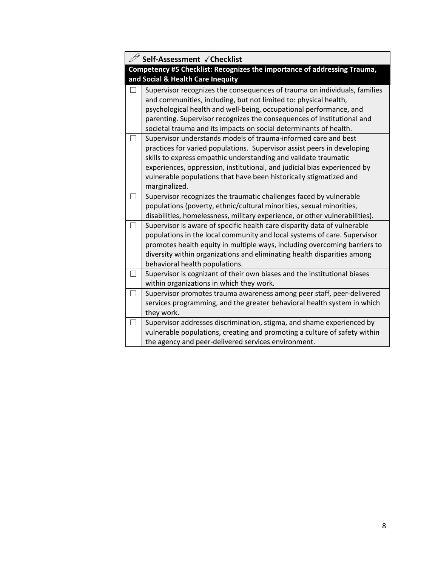| Self-Assessment √Checklist                                                                                                                                                                                                                                                                                                                                                      |
|---------------------------------------------------------------------------------------------------------------------------------------------------------------------------------------------------------------------------------------------------------------------------------------------------------------------------------------------------------------------------------|
| Competency #5 Checklist: Recognizes the importance of addressing Trauma,<br>and Social & Health Care Inequity                                                                                                                                                                                                                                                                   |
| Supervisor recognizes the consequences of trauma on individuals, families<br>and communities, including, but not limited to: physical health,<br>psychological health and well-being, occupational performance, and<br>parenting. Supervisor recognizes the consequences of institutional and<br>societal trauma and its impacts on social determinants of health.              |
| Supervisor understands models of trauma-informed care and best<br>practices for varied populations. Supervisor assist peers in developing<br>skills to express empathic understanding and validate traumatic<br>experiences, oppression, institutional, and judicial bias experienced by<br>vulnerable populations that have been historically stigmatized and<br>marginalized. |
| Supervisor recognizes the traumatic challenges faced by vulnerable<br>populations (poverty, ethnic/cultural minorities, sexual minorities,<br>disabilities, homelessness, military experience, or other vulnerabilities).                                                                                                                                                       |
| Supervisor is aware of specific health care disparity data of vulnerable<br>populations in the local community and local systems of care. Supervisor<br>promotes health equity in multiple ways, including overcoming barriers to<br>diversity within organizations and eliminating health disparities among<br>behavioral health populations.                                  |
| Supervisor is cognizant of their own biases and the institutional biases<br>within organizations in which they work.                                                                                                                                                                                                                                                            |
| Supervisor promotes trauma awareness among peer staff, peer-delivered<br>services programming, and the greater behavioral health system in which<br>they work.                                                                                                                                                                                                                  |
| Supervisor addresses discrimination, stigma, and shame experienced by<br>vulnerable populations, creating and promoting a culture of safety within<br>the agency and peer-delivered services environment.                                                                                                                                                                       |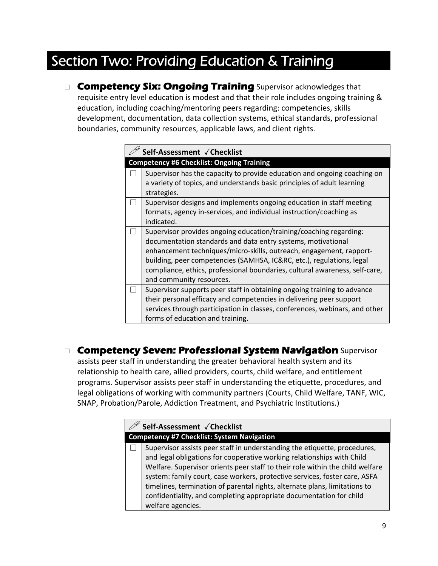## Section Two: Providing Education & Training

**Competency Six: Ongoing Training** Supervisor acknowledges that requisite entry level education is modest and that their role includes ongoing training & education, including coaching/mentoring peers regarding: competencies, skills development, documentation, data collection systems, ethical standards, professional boundaries, community resources, applicable laws, and client rights.

| Self-Assessment √Checklist                                                  |  |
|-----------------------------------------------------------------------------|--|
| <b>Competency #6 Checklist: Ongoing Training</b>                            |  |
| Supervisor has the capacity to provide education and ongoing coaching on    |  |
| a variety of topics, and understands basic principles of adult learning     |  |
| strategies.                                                                 |  |
| Supervisor designs and implements ongoing education in staff meeting        |  |
| formats, agency in-services, and individual instruction/coaching as         |  |
| indicated.                                                                  |  |
| Supervisor provides ongoing education/training/coaching regarding:          |  |
| documentation standards and data entry systems, motivational                |  |
| enhancement techniques/micro-skills, outreach, engagement, rapport-         |  |
| building, peer competencies (SAMHSA, IC&RC, etc.), regulations, legal       |  |
| compliance, ethics, professional boundaries, cultural awareness, self-care, |  |
| and community resources.                                                    |  |
| Supervisor supports peer staff in obtaining ongoing training to advance     |  |
| their personal efficacy and competencies in delivering peer support         |  |
| services through participation in classes, conferences, webinars, and other |  |
| forms of education and training.                                            |  |

 **Competency Seven: Professional System Navigation** Supervisor assists peer staff in understanding the greater behavioral health system and its relationship to health care, allied providers, courts, child welfare, and entitlement programs. Supervisor assists peer staff in understanding the etiquette, procedures, and legal obligations of working with community partners (Courts, Child Welfare, TANF, WIC, SNAP, Probation/Parole, Addiction Treatment, and Psychiatric Institutions.)

|                                                   | Self-Assessment √Checklist                                                                                                                                                                                                                                                                                                                                                                                                                                                                   |
|---------------------------------------------------|----------------------------------------------------------------------------------------------------------------------------------------------------------------------------------------------------------------------------------------------------------------------------------------------------------------------------------------------------------------------------------------------------------------------------------------------------------------------------------------------|
| <b>Competency #7 Checklist: System Navigation</b> |                                                                                                                                                                                                                                                                                                                                                                                                                                                                                              |
|                                                   | Supervisor assists peer staff in understanding the etiquette, procedures,<br>and legal obligations for cooperative working relationships with Child<br>Welfare. Supervisor orients peer staff to their role within the child welfare<br>system: family court, case workers, protective services, foster care, ASFA<br>timelines, termination of parental rights, alternate plans, limitations to<br>confidentiality, and completing appropriate documentation for child<br>welfare agencies. |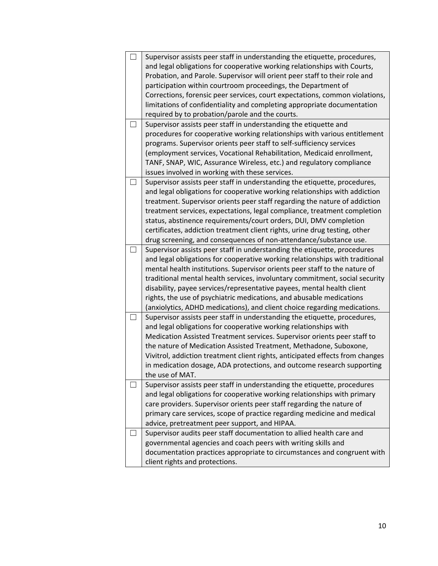| Supervisor assists peer staff in understanding the etiquette, procedures,     |
|-------------------------------------------------------------------------------|
| and legal obligations for cooperative working relationships with Courts,      |
| Probation, and Parole. Supervisor will orient peer staff to their role and    |
| participation within courtroom proceedings, the Department of                 |
| Corrections, forensic peer services, court expectations, common violations,   |
| limitations of confidentiality and completing appropriate documentation       |
| required by to probation/parole and the courts.                               |
| Supervisor assists peer staff in understanding the etiquette and              |
| procedures for cooperative working relationships with various entitlement     |
| programs. Supervisor orients peer staff to self-sufficiency services          |
| (employment services, Vocational Rehabilitation, Medicaid enrollment,         |
| TANF, SNAP, WIC, Assurance Wireless, etc.) and regulatory compliance          |
| issues involved in working with these services.                               |
| Supervisor assists peer staff in understanding the etiquette, procedures,     |
| and legal obligations for cooperative working relationships with addiction    |
| treatment. Supervisor orients peer staff regarding the nature of addiction    |
| treatment services, expectations, legal compliance, treatment completion      |
| status, abstinence requirements/court orders, DUI, DMV completion             |
| certificates, addiction treatment client rights, urine drug testing, other    |
| drug screening, and consequences of non-attendance/substance use.             |
| Supervisor assists peer staff in understanding the etiquette, procedures      |
| and legal obligations for cooperative working relationships with traditional  |
| mental health institutions. Supervisor orients peer staff to the nature of    |
| traditional mental health services, involuntary commitment, social security   |
| disability, payee services/representative payees, mental health client        |
| rights, the use of psychiatric medications, and abusable medications          |
| (anxiolytics, ADHD medications), and client choice regarding medications.     |
| Supervisor assists peer staff in understanding the etiquette, procedures,     |
| and legal obligations for cooperative working relationships with              |
| Medication Assisted Treatment services. Supervisor orients peer staff to      |
| the nature of Medication Assisted Treatment, Methadone, Suboxone,             |
| Vivitrol, addiction treatment client rights, anticipated effects from changes |
| in medication dosage, ADA protections, and outcome research supporting        |
| the use of MAT.                                                               |
| Supervisor assists peer staff in understanding the etiquette, procedures      |
| and legal obligations for cooperative working relationships with primary      |
| care providers. Supervisor orients peer staff regarding the nature of         |
| primary care services, scope of practice regarding medicine and medical       |
| advice, pretreatment peer support, and HIPAA.                                 |
| Supervisor audits peer staff documentation to allied health care and          |
| governmental agencies and coach peers with writing skills and                 |
| documentation practices appropriate to circumstances and congruent with       |
| client rights and protections.                                                |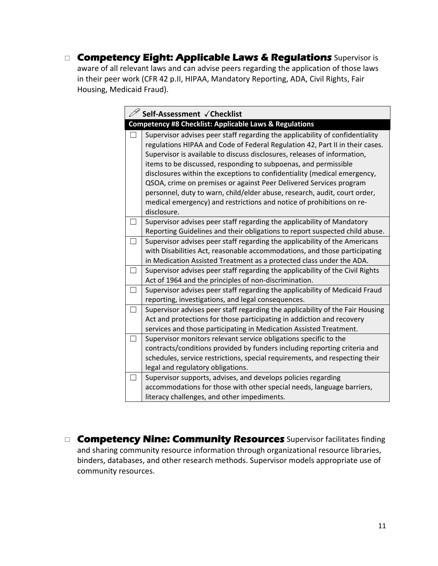**Competency Eight: Applicable Laws & Regulations** Supervisor is aware of all relevant laws and can advise peers regarding the application of those laws in their peer work (CFR 42 p.II, HIPAA, Mandatory Reporting, ADA, Civil Rights, Fair Housing, Medicaid Fraud).

| Self-Assessment √Checklist                                                                                                                                                                                                                                                                                                                                                                                                                                                                                                                                                                                                         |  |
|------------------------------------------------------------------------------------------------------------------------------------------------------------------------------------------------------------------------------------------------------------------------------------------------------------------------------------------------------------------------------------------------------------------------------------------------------------------------------------------------------------------------------------------------------------------------------------------------------------------------------------|--|
| <b>Competency #8 Checklist: Applicable Laws &amp; Regulations</b>                                                                                                                                                                                                                                                                                                                                                                                                                                                                                                                                                                  |  |
| Supervisor advises peer staff regarding the applicability of confidentiality<br>regulations HIPAA and Code of Federal Regulation 42, Part II in their cases.<br>Supervisor is available to discuss disclosures, releases of information,<br>items to be discussed, responding to subpoenas, and permissible<br>disclosures within the exceptions to confidentiality (medical emergency,<br>QSOA, crime on premises or against Peer Delivered Services program<br>personnel, duty to warn, child/elder abuse, research, audit, court order,<br>medical emergency) and restrictions and notice of prohibitions on re-<br>disclosure. |  |
| Supervisor advises peer staff regarding the applicability of Mandatory<br>Reporting Guidelines and their obligations to report suspected child abuse.                                                                                                                                                                                                                                                                                                                                                                                                                                                                              |  |
| Supervisor advises peer staff regarding the applicability of the Americans<br>with Disabilities Act, reasonable accommodations, and those participating<br>in Medication Assisted Treatment as a protected class under the ADA.                                                                                                                                                                                                                                                                                                                                                                                                    |  |
| Supervisor advises peer staff regarding the applicability of the Civil Rights<br>Act of 1964 and the principles of non-discrimination.                                                                                                                                                                                                                                                                                                                                                                                                                                                                                             |  |
| Supervisor advises peer staff regarding the applicability of Medicaid Fraud<br>reporting, investigations, and legal consequences.                                                                                                                                                                                                                                                                                                                                                                                                                                                                                                  |  |
| Supervisor advises peer staff regarding the applicability of the Fair Housing<br>Act and protections for those participating in addiction and recovery<br>services and those participating in Medication Assisted Treatment.                                                                                                                                                                                                                                                                                                                                                                                                       |  |
| Supervisor monitors relevant service obligations specific to the<br>contracts/conditions provided by funders including reporting criteria and<br>schedules, service restrictions, special requirements, and respecting their<br>legal and regulatory obligations.                                                                                                                                                                                                                                                                                                                                                                  |  |
| Supervisor supports, advises, and develops policies regarding<br>accommodations for those with other special needs, language barriers,<br>literacy challenges, and other impediments.                                                                                                                                                                                                                                                                                                                                                                                                                                              |  |

**Competency Nine: Community Resources** Supervisor facilitates finding and sharing community resource information through organizational resource libraries, binders, databases, and other research methods. Supervisor models appropriate use of community resources.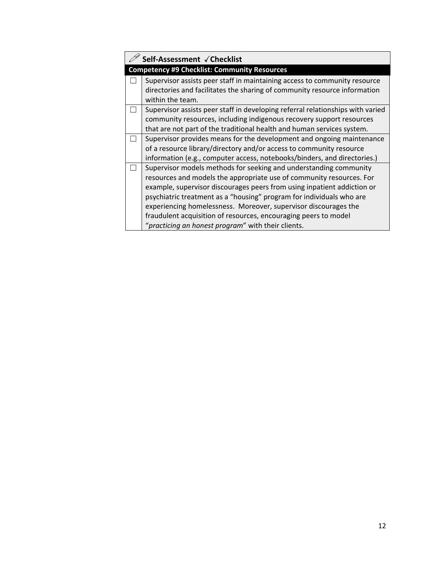| Self-Assessment √Checklist                                                                                                                                                                                                                                                                                                                                                                                                                                                               |  |
|------------------------------------------------------------------------------------------------------------------------------------------------------------------------------------------------------------------------------------------------------------------------------------------------------------------------------------------------------------------------------------------------------------------------------------------------------------------------------------------|--|
| <b>Competency #9 Checklist: Community Resources</b>                                                                                                                                                                                                                                                                                                                                                                                                                                      |  |
| Supervisor assists peer staff in maintaining access to community resource<br>directories and facilitates the sharing of community resource information<br>within the team.                                                                                                                                                                                                                                                                                                               |  |
| Supervisor assists peer staff in developing referral relationships with varied<br>community resources, including indigenous recovery support resources<br>that are not part of the traditional health and human services system.                                                                                                                                                                                                                                                         |  |
| Supervisor provides means for the development and ongoing maintenance<br>of a resource library/directory and/or access to community resource<br>information (e.g., computer access, notebooks/binders, and directories.)                                                                                                                                                                                                                                                                 |  |
| Supervisor models methods for seeking and understanding community<br>resources and models the appropriate use of community resources. For<br>example, supervisor discourages peers from using inpatient addiction or<br>psychiatric treatment as a "housing" program for individuals who are<br>experiencing homelessness. Moreover, supervisor discourages the<br>fraudulent acquisition of resources, encouraging peers to model<br>"practicing an honest program" with their clients. |  |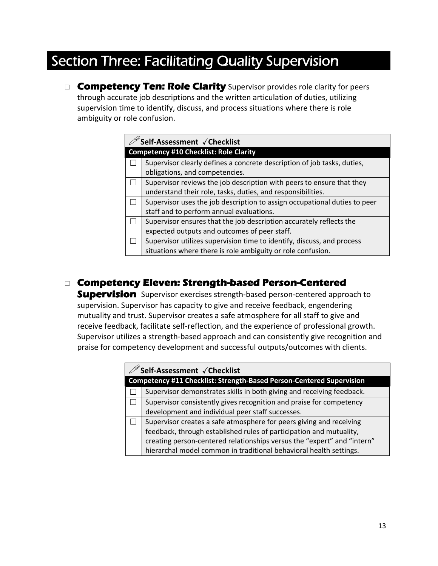## Section Three: Facilitating Quality Supervision

**Competency Ten: Role Clarity** Supervisor provides role clarity for peers through accurate job descriptions and the written articulation of duties, utilizing supervision time to identify, discuss, and process situations where there is role ambiguity or role confusion.

| Self-Assessment √Checklist |                                                                           |  |
|----------------------------|---------------------------------------------------------------------------|--|
|                            | <b>Competency #10 Checklist: Role Clarity</b>                             |  |
|                            | Supervisor clearly defines a concrete description of job tasks, duties,   |  |
|                            | obligations, and competencies.                                            |  |
|                            | Supervisor reviews the job description with peers to ensure that they     |  |
|                            | understand their role, tasks, duties, and responsibilities.               |  |
|                            | Supervisor uses the job description to assign occupational duties to peer |  |
|                            | staff and to perform annual evaluations.                                  |  |
|                            | Supervisor ensures that the job description accurately reflects the       |  |
|                            | expected outputs and outcomes of peer staff.                              |  |
|                            | Supervisor utilizes supervision time to identify, discuss, and process    |  |
|                            | situations where there is role ambiguity or role confusion.               |  |

## **Competency Eleven: Strength-based Person-Centered**

**Supervision** Supervisor exercises strength-based person-centered approach to supervision. Supervisor has capacity to give and receive feedback, engendering mutuality and trust. Supervisor creates a safe atmosphere for all staff to give and receive feedback, facilitate self‐reflection, and the experience of professional growth. Supervisor utilizes a strength‐based approach and can consistently give recognition and praise for competency development and successful outputs/outcomes with clients.

|                                                                      | $\check{}$ Self-Assessment $\check{}$ Checklist                         |
|----------------------------------------------------------------------|-------------------------------------------------------------------------|
| Competency #11 Checklist: Strength-Based Person-Centered Supervision |                                                                         |
|                                                                      | Supervisor demonstrates skills in both giving and receiving feedback.   |
|                                                                      | Supervisor consistently gives recognition and praise for competency     |
|                                                                      | development and individual peer staff successes.                        |
|                                                                      | Supervisor creates a safe atmosphere for peers giving and receiving     |
|                                                                      | feedback, through established rules of participation and mutuality,     |
|                                                                      | creating person-centered relationships versus the "expert" and "intern" |
|                                                                      | hierarchal model common in traditional behavioral health settings.      |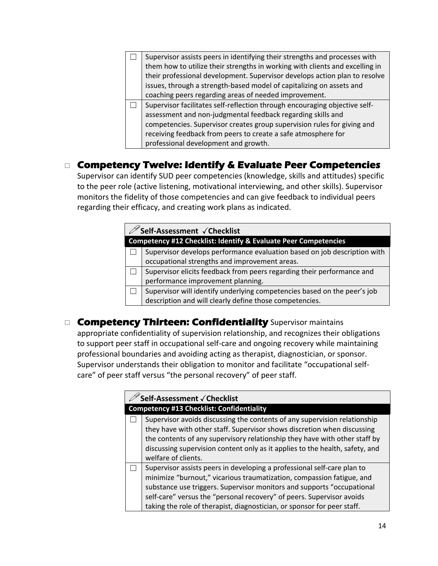| Supervisor assists peers in identifying their strengths and processes with   |
|------------------------------------------------------------------------------|
| them how to utilize their strengths in working with clients and excelling in |
| their professional development. Supervisor develops action plan to resolve   |
| issues, through a strength-based model of capitalizing on assets and         |
| coaching peers regarding areas of needed improvement.                        |
|                                                                              |
| Supervisor facilitates self-reflection through encouraging objective self-   |
| assessment and non-judgmental feedback regarding skills and                  |
| competencies. Supervisor creates group supervision rules for giving and      |
| receiving feedback from peers to create a safe atmosphere for                |

## **Competency Twelve: Identify & Evaluate Peer Competencies**

Supervisor can identify SUD peer competencies (knowledge, skills and attitudes) specific to the peer role (active listening, motivational interviewing, and other skills). Supervisor monitors the fidelity of those competencies and can give feedback to individual peers regarding their efficacy, and creating work plans as indicated.

|                                                                            | <sup>'</sup> Self-Assessment √Checklist                                  |  |
|----------------------------------------------------------------------------|--------------------------------------------------------------------------|--|
| <b>Competency #12 Checklist: Identify &amp; Evaluate Peer Competencies</b> |                                                                          |  |
|                                                                            | Supervisor develops performance evaluation based on job description with |  |
|                                                                            | occupational strengths and improvement areas.                            |  |
|                                                                            | Supervisor elicits feedback from peers regarding their performance and   |  |
|                                                                            | performance improvement planning.                                        |  |
|                                                                            | Supervisor will identify underlying competencies based on the peer's job |  |
|                                                                            | description and will clearly define those competencies.                  |  |

## **Competency Thirteen: Confidentiality** Supervisor maintains

appropriate confidentiality of supervision relationship, and recognizes their obligations to support peer staff in occupational self‐care and ongoing recovery while maintaining professional boundaries and avoiding acting as therapist, diagnostician, or sponsor. Supervisor understands their obligation to monitor and facilitate "occupational self‐ care" of peer staff versus "the personal recovery" of peer staff.

| Self-Assessment √ Checklist                                                                                                                                                                                                                                                                                                                                                    |  |
|--------------------------------------------------------------------------------------------------------------------------------------------------------------------------------------------------------------------------------------------------------------------------------------------------------------------------------------------------------------------------------|--|
| <b>Competency #13 Checklist: Confidentiality</b>                                                                                                                                                                                                                                                                                                                               |  |
| Supervisor avoids discussing the contents of any supervision relationship<br>they have with other staff. Supervisor shows discretion when discussing<br>the contents of any supervisory relationship they have with other staff by<br>discussing supervision content only as it applies to the health, safety, and<br>welfare of clients.                                      |  |
| Supervisor assists peers in developing a professional self-care plan to<br>minimize "burnout," vicarious traumatization, compassion fatigue, and<br>substance use triggers. Supervisor monitors and supports "occupational<br>self-care" versus the "personal recovery" of peers. Supervisor avoids<br>taking the role of therapist, diagnostician, or sponsor for peer staff. |  |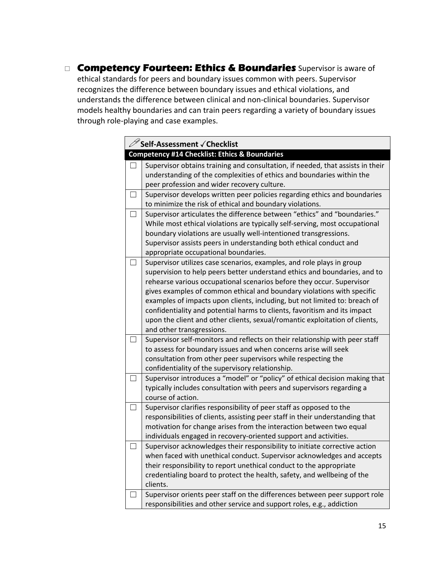**Competency Fourteen: Ethics & Boundaries** Supervisor is aware of ethical standards for peers and boundary issues common with peers. Supervisor recognizes the difference between boundary issues and ethical violations, and understands the difference between clinical and non‐clinical boundaries. Supervisor models healthy boundaries and can train peers regarding a variety of boundary issues through role‐playing and case examples.

|        | $\mathscr{D}$ Self-Assessment $\checkmark$ Checklist                                                                                           |
|--------|------------------------------------------------------------------------------------------------------------------------------------------------|
|        | Competency #14 Checklist: Ethics & Boundaries                                                                                                  |
|        | Supervisor obtains training and consultation, if needed, that assists in their                                                                 |
|        | understanding of the complexities of ethics and boundaries within the                                                                          |
|        | peer profession and wider recovery culture.                                                                                                    |
| $\Box$ | Supervisor develops written peer policies regarding ethics and boundaries                                                                      |
|        | to minimize the risk of ethical and boundary violations.                                                                                       |
| $\Box$ | Supervisor articulates the difference between "ethics" and "boundaries."                                                                       |
|        | While most ethical violations are typically self-serving, most occupational                                                                    |
|        | boundary violations are usually well-intentioned transgressions.                                                                               |
|        | Supervisor assists peers in understanding both ethical conduct and                                                                             |
|        | appropriate occupational boundaries.                                                                                                           |
|        | Supervisor utilizes case scenarios, examples, and role plays in group                                                                          |
|        | supervision to help peers better understand ethics and boundaries, and to                                                                      |
|        | rehearse various occupational scenarios before they occur. Supervisor                                                                          |
|        | gives examples of common ethical and boundary violations with specific                                                                         |
|        | examples of impacts upon clients, including, but not limited to: breach of                                                                     |
|        | confidentiality and potential harms to clients, favoritism and its impact                                                                      |
|        | upon the client and other clients, sexual/romantic exploitation of clients,                                                                    |
|        | and other transgressions.                                                                                                                      |
|        | Supervisor self-monitors and reflects on their relationship with peer staff                                                                    |
|        | to assess for boundary issues and when concerns arise will seek                                                                                |
|        | consultation from other peer supervisors while respecting the                                                                                  |
|        | confidentiality of the supervisory relationship.                                                                                               |
|        | Supervisor introduces a "model" or "policy" of ethical decision making that                                                                    |
|        | typically includes consultation with peers and supervisors regarding a                                                                         |
|        | course of action.                                                                                                                              |
|        | Supervisor clarifies responsibility of peer staff as opposed to the                                                                            |
|        | responsibilities of clients, assisting peer staff in their understanding that                                                                  |
|        | motivation for change arises from the interaction between two equal                                                                            |
|        | individuals engaged in recovery-oriented support and activities.<br>Supervisor acknowledges their responsibility to initiate corrective action |
| $\Box$ | when faced with unethical conduct. Supervisor acknowledges and accepts                                                                         |
|        | their responsibility to report unethical conduct to the appropriate                                                                            |
|        | credentialing board to protect the health, safety, and wellbeing of the                                                                        |
|        | clients.                                                                                                                                       |
| ப      | Supervisor orients peer staff on the differences between peer support role                                                                     |
|        | responsibilities and other service and support roles, e.g., addiction                                                                          |
|        |                                                                                                                                                |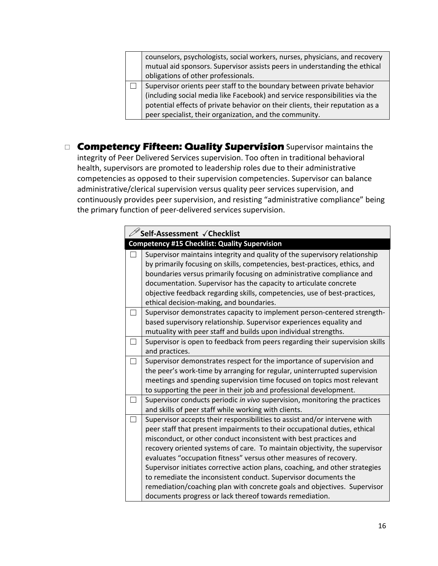counselors, psychologists, social workers, nurses, physicians, and recovery mutual aid sponsors. Supervisor assists peers in understanding the ethical obligations of other professionals.  $\Box$  Supervisor orients peer staff to the boundary between private behavior

- (including social media like Facebook) and service responsibilities via the potential effects of private behavior on their clients, their reputation as a peer specialist, their organization, and the community.
- **Competency Fifteen: Quality Supervision** Supervisor maintains the integrity of Peer Delivered Services supervision. Too often in traditional behavioral health, supervisors are promoted to leadership roles due to their administrative competencies as opposed to their supervision competencies. Supervisor can balance administrative/clerical supervision versus quality peer services supervision, and continuously provides peer supervision, and resisting "administrative compliance" being the primary function of peer‐delivered services supervision.

|                   | Self-Assessment √Checklist                                                                                                                                                                                                                                                                                                                                                                                                                                                                                                                                                                                                                                               |  |
|-------------------|--------------------------------------------------------------------------------------------------------------------------------------------------------------------------------------------------------------------------------------------------------------------------------------------------------------------------------------------------------------------------------------------------------------------------------------------------------------------------------------------------------------------------------------------------------------------------------------------------------------------------------------------------------------------------|--|
|                   | <b>Competency #15 Checklist: Quality Supervision</b>                                                                                                                                                                                                                                                                                                                                                                                                                                                                                                                                                                                                                     |  |
|                   | Supervisor maintains integrity and quality of the supervisory relationship<br>by primarily focusing on skills, competencies, best-practices, ethics, and<br>boundaries versus primarily focusing on administrative compliance and<br>documentation. Supervisor has the capacity to articulate concrete<br>objective feedback regarding skills, competencies, use of best-practices,<br>ethical decision-making, and boundaries.                                                                                                                                                                                                                                          |  |
|                   | Supervisor demonstrates capacity to implement person-centered strength-<br>based supervisory relationship. Supervisor experiences equality and<br>mutuality with peer staff and builds upon individual strengths.                                                                                                                                                                                                                                                                                                                                                                                                                                                        |  |
| $\vert \ \ \vert$ | Supervisor is open to feedback from peers regarding their supervision skills<br>and practices.                                                                                                                                                                                                                                                                                                                                                                                                                                                                                                                                                                           |  |
|                   | Supervisor demonstrates respect for the importance of supervision and<br>the peer's work-time by arranging for regular, uninterrupted supervision<br>meetings and spending supervision time focused on topics most relevant<br>to supporting the peer in their job and professional development.                                                                                                                                                                                                                                                                                                                                                                         |  |
|                   | Supervisor conducts periodic in vivo supervision, monitoring the practices<br>and skills of peer staff while working with clients.                                                                                                                                                                                                                                                                                                                                                                                                                                                                                                                                       |  |
|                   | Supervisor accepts their responsibilities to assist and/or intervene with<br>peer staff that present impairments to their occupational duties, ethical<br>misconduct, or other conduct inconsistent with best practices and<br>recovery oriented systems of care. To maintain objectivity, the supervisor<br>evaluates "occupation fitness" versus other measures of recovery.<br>Supervisor initiates corrective action plans, coaching, and other strategies<br>to remediate the inconsistent conduct. Supervisor documents the<br>remediation/coaching plan with concrete goals and objectives. Supervisor<br>documents progress or lack thereof towards remediation. |  |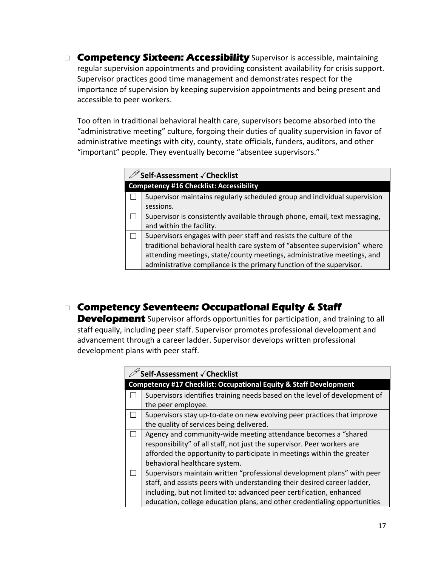□ Competency Sixteen: Accessibility Supervisor is accessible, maintaining regular supervision appointments and providing consistent availability for crisis support. Supervisor practices good time management and demonstrates respect for the importance of supervision by keeping supervision appointments and being present and accessible to peer workers.

Too often in traditional behavioral health care, supervisors become absorbed into the "administrative meeting" culture, forgoing their duties of quality supervision in favor of administrative meetings with city, county, state officials, funders, auditors, and other "important" people. They eventually become "absentee supervisors."

| <sup>'</sup> Self-Assessment √ Checklist |                                                                                                                                                                                                                                                                                                    |
|------------------------------------------|----------------------------------------------------------------------------------------------------------------------------------------------------------------------------------------------------------------------------------------------------------------------------------------------------|
|                                          | <b>Competency #16 Checklist: Accessibility</b>                                                                                                                                                                                                                                                     |
|                                          | Supervisor maintains regularly scheduled group and individual supervision<br>sessions.                                                                                                                                                                                                             |
|                                          | Supervisor is consistently available through phone, email, text messaging,<br>and within the facility.                                                                                                                                                                                             |
|                                          | Supervisors engages with peer staff and resists the culture of the<br>traditional behavioral health care system of "absentee supervision" where<br>attending meetings, state/county meetings, administrative meetings, and<br>administrative compliance is the primary function of the supervisor. |

## **Competency Seventeen: Occupational Equity & Staff**

**Development** Supervisor affords opportunities for participation, and training to all staff equally, including peer staff. Supervisor promotes professional development and advancement through a career ladder. Supervisor develops written professional development plans with peer staff.

| Self-Assessment √ Checklist                                                |  |
|----------------------------------------------------------------------------|--|
| Competency #17 Checklist: Occupational Equity & Staff Development          |  |
| Supervisors identifies training needs based on the level of development of |  |
| the peer employee.                                                         |  |
| Supervisors stay up-to-date on new evolving peer practices that improve    |  |
| the quality of services being delivered.                                   |  |
| Agency and community-wide meeting attendance becomes a "shared             |  |
| responsibility" of all staff, not just the supervisor. Peer workers are    |  |
| afforded the opportunity to participate in meetings within the greater     |  |
| behavioral healthcare system.                                              |  |
| Supervisors maintain written "professional development plans" with peer    |  |
| staff, and assists peers with understanding their desired career ladder,   |  |
| including, but not limited to: advanced peer certification, enhanced       |  |
| education, college education plans, and other credentialing opportunities  |  |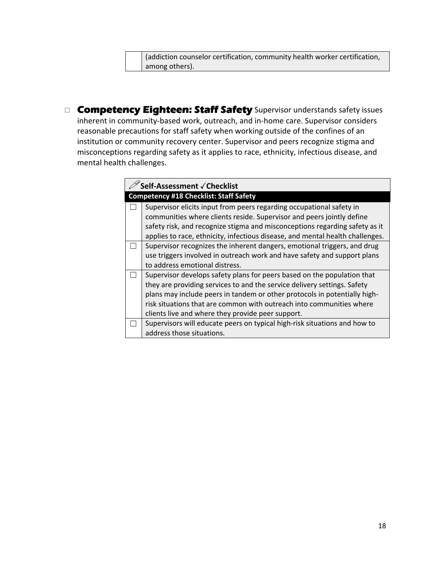(addiction counselor certification, community health worker certification, among others).

**Competency Eighteen: Staff Safety** Supervisor understands safety issues inherent in community-based work, outreach, and in-home care. Supervisor considers reasonable precautions for staff safety when working outside of the confines of an institution or community recovery center. Supervisor and peers recognize stigma and misconceptions regarding safety as it applies to race, ethnicity, infectious disease, and mental health challenges.

| Self-Assessment √ Checklist |                                                                               |
|-----------------------------|-------------------------------------------------------------------------------|
|                             | <b>Competency #18 Checklist: Staff Safety</b>                                 |
|                             | Supervisor elicits input from peers regarding occupational safety in          |
|                             | communities where clients reside. Supervisor and peers jointly define         |
|                             | safety risk, and recognize stigma and misconceptions regarding safety as it   |
|                             | applies to race, ethnicity, infectious disease, and mental health challenges. |
|                             | Supervisor recognizes the inherent dangers, emotional triggers, and drug      |
|                             | use triggers involved in outreach work and have safety and support plans      |
|                             | to address emotional distress.                                                |
|                             | Supervisor develops safety plans for peers based on the population that       |
|                             | they are providing services to and the service delivery settings. Safety      |
|                             | plans may include peers in tandem or other protocols in potentially high-     |
|                             | risk situations that are common with outreach into communities where          |
|                             | clients live and where they provide peer support.                             |
|                             | Supervisors will educate peers on typical high-risk situations and how to     |
|                             | address those situations.                                                     |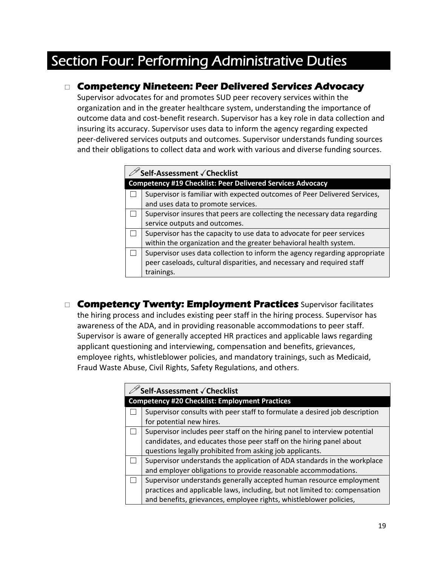## Section Four: Performing Administrative Duties

### **Competency Nineteen: Peer Delivered Services Advocacy**

Supervisor advocates for and promotes SUD peer recovery services within the organization and in the greater healthcare system, understanding the importance of outcome data and cost‐benefit research. Supervisor has a key role in data collection and insuring its accuracy. Supervisor uses data to inform the agency regarding expected peer‐delivered services outputs and outcomes. Supervisor understands funding sources and their obligations to collect data and work with various and diverse funding sources.

| Self-Assessment √ Checklist                                                |  |
|----------------------------------------------------------------------------|--|
| <b>Competency #19 Checklist: Peer Delivered Services Advocacy</b>          |  |
| Supervisor is familiar with expected outcomes of Peer Delivered Services,  |  |
| and uses data to promote services.                                         |  |
| Supervisor insures that peers are collecting the necessary data regarding  |  |
| service outputs and outcomes.                                              |  |
| Supervisor has the capacity to use data to advocate for peer services      |  |
| within the organization and the greater behavioral health system.          |  |
| Supervisor uses data collection to inform the agency regarding appropriate |  |
| peer caseloads, cultural disparities, and necessary and required staff     |  |
| trainings.                                                                 |  |

 **Competency Twenty: Employment Practices** Supervisor facilitates the hiring process and includes existing peer staff in the hiring process. Supervisor has awareness of the ADA, and in providing reasonable accommodations to peer staff. Supervisor is aware of generally accepted HR practices and applicable laws regarding applicant questioning and interviewing, compensation and benefits, grievances, employee rights, whistleblower policies, and mandatory trainings, such as Medicaid, Fraud Waste Abuse, Civil Rights, Safety Regulations, and others.

| Self-Assessment √ Checklist                                                |  |
|----------------------------------------------------------------------------|--|
| <b>Competency #20 Checklist: Employment Practices</b>                      |  |
| Supervisor consults with peer staff to formulate a desired job description |  |
| for potential new hires.                                                   |  |
| Supervisor includes peer staff on the hiring panel to interview potential  |  |
| candidates, and educates those peer staff on the hiring panel about        |  |
| questions legally prohibited from asking job applicants.                   |  |
| Supervisor understands the application of ADA standards in the workplace   |  |
| and employer obligations to provide reasonable accommodations.             |  |
| Supervisor understands generally accepted human resource employment        |  |
| practices and applicable laws, including, but not limited to: compensation |  |
| and benefits, grievances, employee rights, whistleblower policies,         |  |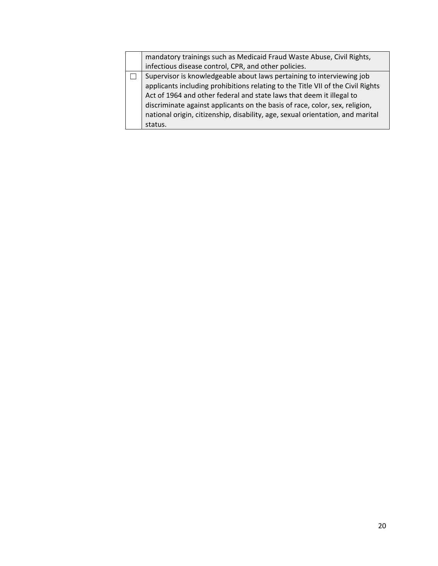|  | mandatory trainings such as Medicaid Fraud Waste Abuse, Civil Rights,           |
|--|---------------------------------------------------------------------------------|
|  | infectious disease control, CPR, and other policies.                            |
|  | Supervisor is knowledgeable about laws pertaining to interviewing job           |
|  | applicants including prohibitions relating to the Title VII of the Civil Rights |
|  | Act of 1964 and other federal and state laws that deem it illegal to            |
|  | discriminate against applicants on the basis of race, color, sex, religion,     |
|  | national origin, citizenship, disability, age, sexual orientation, and marital  |
|  | status.                                                                         |
|  |                                                                                 |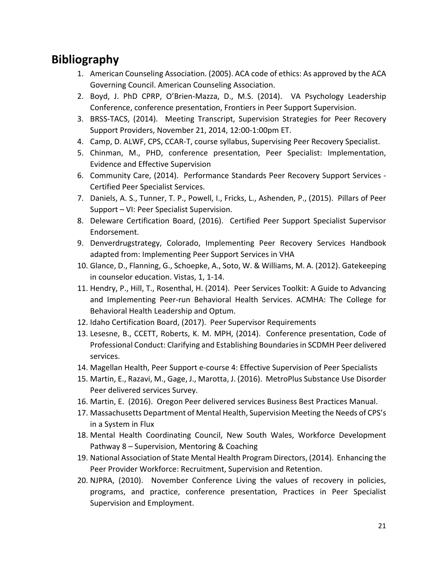## **Bibliography**

- 1. American Counseling Association. (2005). ACA code of ethics: As approved by the ACA Governing Council. American Counseling Association.
- 2. Boyd, J. PhD CPRP, O'Brien‐Mazza, D., M.S. (2014). VA Psychology Leadership Conference, conference presentation, Frontiers in Peer Support Supervision.
- 3. BRSS-TACS, (2014). Meeting Transcript, Supervision Strategies for Peer Recovery Support Providers, November 21, 2014, 12:00‐1:00pm ET.
- 4. Camp, D. ALWF, CPS, CCAR‐T, course syllabus, Supervising Peer Recovery Specialist.
- 5. Chinman, M., PHD, conference presentation, Peer Specialist: Implementation, Evidence and Effective Supervision
- 6. Community Care, (2014). Performance Standards Peer Recovery Support Services ‐ Certified Peer Specialist Services.
- 7. Daniels, A. S., Tunner, T. P., Powell, I., Fricks, L., Ashenden, P., (2015). Pillars of Peer Support – VI: Peer Specialist Supervision.
- 8. Deleware Certification Board, (2016). Certified Peer Support Specialist Supervisor Endorsement.
- 9. Denverdrugstrategy, Colorado, Implementing Peer Recovery Services Handbook adapted from: Implementing Peer Support Services in VHA
- 10. Glance, D., Flanning, G., Schoepke, A., Soto, W. & Williams, M. A. (2012). Gatekeeping in counselor education. Vistas, 1, 1‐14.
- 11. Hendry, P., Hill, T., Rosenthal, H. (2014). Peer Services Toolkit: A Guide to Advancing and Implementing Peer‐run Behavioral Health Services. ACMHA: The College for Behavioral Health Leadership and Optum.
- 12. Idaho Certification Board, (2017). Peer Supervisor Requirements
- 13. Lesesne, B., CCETT, Roberts, K. M. MPH, (2014). Conference presentation, Code of Professional Conduct: Clarifying and Establishing Boundariesin SCDMH Peer delivered services.
- 14. Magellan Health, Peer Support e-course 4: Effective Supervision of Peer Specialists
- 15. Martin, E., Razavi, M., Gage, J., Marotta, J. (2016). MetroPlus Substance Use Disorder Peer delivered services Survey.
- 16. Martin, E. (2016). Oregon Peer delivered services Business Best Practices Manual.
- 17. Massachusetts Department of Mental Health, Supervision Meeting the Needs of CPS's in a System in Flux
- 18. Mental Health Coordinating Council, New South Wales, Workforce Development Pathway 8 – Supervision, Mentoring & Coaching
- 19. National Association of State Mental Health Program Directors, (2014). Enhancing the Peer Provider Workforce: Recruitment, Supervision and Retention.
- 20. NJPRA, (2010). November Conference Living the values of recovery in policies, programs, and practice, conference presentation, Practices in Peer Specialist Supervision and Employment.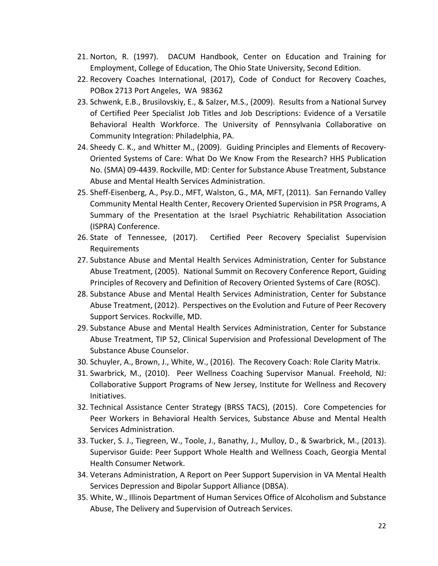- 21. Norton, R. (1997). DACUM Handbook, Center on Education and Training for Employment, College of Education, The Ohio State University, Second Edition.
- 22. Recovery Coaches International, (2017), Code of Conduct for Recovery Coaches, POBox 2713 Port Angeles, WA 98362
- 23. Schwenk, E.B., Brusilovskiy, E., & Salzer, M.S., (2009). Results from a National Survey of Certified Peer Specialist Job Titles and Job Descriptions: Evidence of a Versatile Behavioral Health Workforce. The University of Pennsylvania Collaborative on Community Integration: Philadelphia, PA.
- 24. Sheedy C. K., and Whitter M., (2009). Guiding Principles and Elements of Recovery‐ Oriented Systems of Care: What Do We Know From the Research? HHS Publication No. (SMA) 09‐4439. Rockville, MD: Center for Substance Abuse Treatment, Substance Abuse and Mental Health Services Administration.
- 25. Sheff‐Eisenberg, A., Psy.D., MFT, Walston, G., MA, MFT, (2011). San Fernando Valley Community Mental Health Center, Recovery Oriented Supervision in PSR Programs, A Summary of the Presentation at the Israel Psychiatric Rehabilitation Association (ISPRA) Conference.
- 26. State of Tennessee, (2017). Certified Peer Recovery Specialist Supervision Requirements
- 27. Substance Abuse and Mental Health Services Administration, Center for Substance Abuse Treatment, (2005). National Summit on Recovery Conference Report, Guiding Principles of Recovery and Definition of Recovery Oriented Systems of Care (ROSC).
- 28. Substance Abuse and Mental Health Services Administration, Center for Substance Abuse Treatment, (2012). Perspectives on the Evolution and Future of Peer Recovery Support Services. Rockville, MD.
- 29. Substance Abuse and Mental Health Services Administration, Center for Substance Abuse Treatment, TIP 52, Clinical Supervision and Professional Development of The Substance Abuse Counselor.
- 30. Schuyler, A., Brown, J., White, W., (2016). The Recovery Coach: Role Clarity Matrix.
- 31. Swarbrick, M., (2010). Peer Wellness Coaching Supervisor Manual. Freehold, NJ: Collaborative Support Programs of New Jersey, Institute for Wellness and Recovery Initiatives.
- 32. Technical Assistance Center Strategy (BRSS TACS), (2015). Core Competencies for Peer Workers in Behavioral Health Services, Substance Abuse and Mental Health Services Administration.
- 33. Tucker, S. J., Tiegreen, W., Toole, J., Banathy, J., Mulloy, D., & Swarbrick, M., (2013). Supervisor Guide: Peer Support Whole Health and Wellness Coach, Georgia Mental Health Consumer Network.
- 34. Veterans Administration, A Report on Peer Support Supervision in VA Mental Health Services Depression and Bipolar Support Alliance (DBSA).
- 35. White, W., Illinois Department of Human Services Office of Alcoholism and Substance Abuse, The Delivery and Supervision of Outreach Services.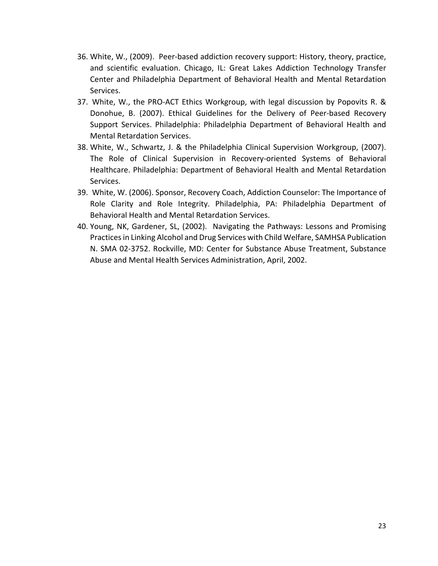- 36. White, W., (2009). Peer‐based addiction recovery support: History, theory, practice, and scientific evaluation. Chicago, IL: Great Lakes Addiction Technology Transfer Center and Philadelphia Department of Behavioral Health and Mental Retardation Services.
- 37. White, W., the PRO‐ACT Ethics Workgroup, with legal discussion by Popovits R. & Donohue, B. (2007). Ethical Guidelines for the Delivery of Peer-based Recovery Support Services. Philadelphia: Philadelphia Department of Behavioral Health and Mental Retardation Services.
- 38. White, W., Schwartz, J. & the Philadelphia Clinical Supervision Workgroup, (2007). The Role of Clinical Supervision in Recovery‐oriented Systems of Behavioral Healthcare. Philadelphia: Department of Behavioral Health and Mental Retardation Services.
- 39. White, W. (2006). Sponsor, Recovery Coach, Addiction Counselor: The Importance of Role Clarity and Role Integrity. Philadelphia, PA: Philadelphia Department of Behavioral Health and Mental Retardation Services.
- 40. Young, NK, Gardener, SL, (2002). Navigating the Pathways: Lessons and Promising Practices in Linking Alcohol and Drug Services with Child Welfare, SAMHSA Publication N. SMA 02‐3752. Rockville, MD: Center for Substance Abuse Treatment, Substance Abuse and Mental Health Services Administration, April, 2002.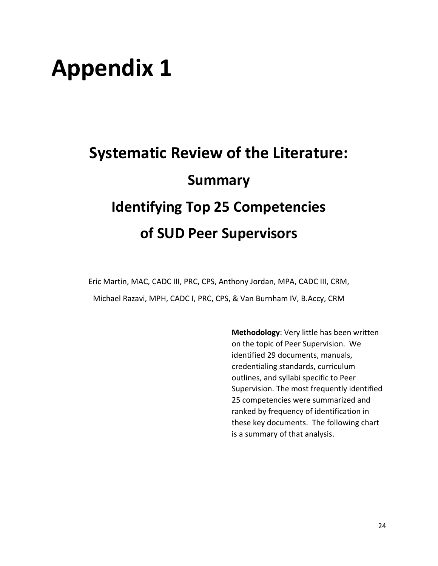## **Appendix 1**

## **Systematic Review of the Literature: Summary Identifying Top 25 Competencies of SUD Peer Supervisors**

Eric Martin, MAC, CADC III, PRC, CPS, Anthony Jordan, MPA, CADC III, CRM, Michael Razavi, MPH, CADC I, PRC, CPS, & Van Burnham IV, B.Accy, CRM

> **Methodology**: Very little has been written on the topic of Peer Supervision. We identified 29 documents, manuals, credentialing standards, curriculum outlines, and syllabi specific to Peer Supervision. The most frequently identified 25 competencies were summarized and ranked by frequency of identification in these key documents. The following chart is a summary of that analysis.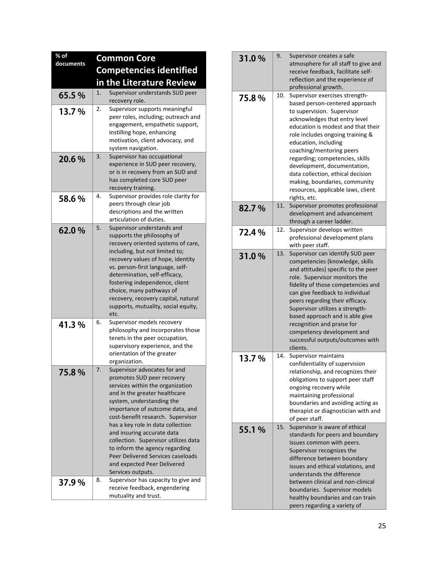| % of<br>documents |    | <b>Common Core</b>                                                                                                                                                                                                                                                                                                                                                                                                                                                         |
|-------------------|----|----------------------------------------------------------------------------------------------------------------------------------------------------------------------------------------------------------------------------------------------------------------------------------------------------------------------------------------------------------------------------------------------------------------------------------------------------------------------------|
|                   |    | <b>Competencies identified</b>                                                                                                                                                                                                                                                                                                                                                                                                                                             |
|                   |    | in the Literature Review                                                                                                                                                                                                                                                                                                                                                                                                                                                   |
| 65.5%             | 1. | Supervisor understands SUD peer<br>recovery role.                                                                                                                                                                                                                                                                                                                                                                                                                          |
| 13.7%             | 2. | Supervisor supports meaningful<br>peer roles, including; outreach and<br>engagement, empathetic support,<br>instilling hope, enhancing<br>motivation, client advocacy, and<br>system navigation.                                                                                                                                                                                                                                                                           |
| 20.6%             | 3. | Supervisor has occupational<br>experience in SUD peer recovery,<br>or is in recovery from an SUD and<br>has completed core SUD peer<br>recovery training.                                                                                                                                                                                                                                                                                                                  |
| 58.6%             | 4. | Supervisor provides role clarity for<br>peers through clear job<br>descriptions and the written<br>articulation of duties.                                                                                                                                                                                                                                                                                                                                                 |
| 62.0%             | 5. | Supervisor understands and<br>supports the philosophy of<br>recovery oriented systems of care,<br>including, but not limited to;<br>recovery values of hope, identity<br>vs. person-first language, self-<br>determination, self-efficacy,<br>fostering independence, client<br>choice, many pathways of<br>recovery, recovery capital, natural<br>supports, mutuality, social equity,<br>etc.                                                                             |
| 41.3%             | 6. | Supervisor models recovery<br>philosophy and incorporates those<br>tenets in the peer occupation,<br>supervisory experience, and the<br>orientation of the greater<br>organization.                                                                                                                                                                                                                                                                                        |
| 75.8 %            | 7. | Supervisor advocates for and<br>promotes SUD peer recovery<br>services within the organization<br>and in the greater healthcare<br>system, understanding the<br>importance of outcome data, and<br>cost-benefit research. Supervisor<br>has a key role in data collection<br>and insuring accurate data<br>collection. Supervisor utilizes data<br>to inform the agency regarding<br>Peer Delivered Services caseloads<br>and expected Peer Delivered<br>Services outputs. |
| 37.9%             | 8. | Supervisor has capacity to give and<br>receive feedback, engendering<br>mutuality and trust.                                                                                                                                                                                                                                                                                                                                                                               |

| 31.0% | 9.  | Supervisor creates a safe<br>atmosphere for all staff to give and<br>receive feedback, facilitate self-<br>reflection and the experience of<br>professional growth.                                                                                                                                                                                                                                                                                         |
|-------|-----|-------------------------------------------------------------------------------------------------------------------------------------------------------------------------------------------------------------------------------------------------------------------------------------------------------------------------------------------------------------------------------------------------------------------------------------------------------------|
| 75.8% | 10. | Supervisor exercises strength-<br>based person-centered approach<br>to supervision. Supervisor<br>acknowledges that entry level<br>education is modest and that their<br>role includes ongoing training &<br>education, including<br>coaching/mentoring peers<br>regarding; competencies, skills<br>development, documentation,<br>data collection, ethical decision<br>making, boundaries, community<br>resources, applicable laws, client<br>rights, etc. |
| 82.7% | 11. | Supervisor promotes professional<br>development and advancement<br>through a career ladder.                                                                                                                                                                                                                                                                                                                                                                 |
| 72.4% | 12. | Supervisor develops written<br>professional development plans<br>with peer staff.                                                                                                                                                                                                                                                                                                                                                                           |
| 31.0% | 13. | Supervisor can identify SUD peer<br>competencies (knowledge, skills<br>and attitudes) specific to the peer<br>role. Supervisor monitors the<br>fidelity of those competencies and<br>can give feedback to individual<br>peers regarding their efficacy.<br>Supervisor utilizes a strength-<br>based approach and is able give<br>recognition and praise for<br>competency development and<br>successful outputs/outcomes with<br>clients.                   |
| 13.7% | 14. | Supervisor maintains<br>confidentiality of supervision<br>relationship, and recognizes their<br>obligations to support peer staff<br>ongoing recovery while<br>maintaining professional<br>boundaries and avoiding acting as<br>therapist or diagnostician with and<br>of peer staff.                                                                                                                                                                       |
| 55.1% | 15. | Supervisor is aware of ethical<br>standards for peers and boundary<br>issues common with peers.<br>Supervisor recognizes the<br>difference between boundary<br>issues and ethical violations, and<br>understands the difference<br>between clinical and non-clinical<br>boundaries. Supervisor models<br>healthy boundaries and can train<br>peers regarding a variety of                                                                                   |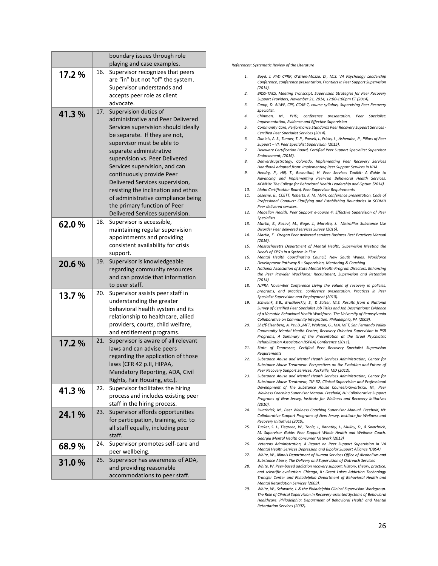|       |     | boundary issues through role                                             |
|-------|-----|--------------------------------------------------------------------------|
|       |     | playing and case examples.                                               |
| 17.2% | 16. | Supervisor recognizes that peers<br>are "in" but not "of" the system.    |
|       |     | Supervisor understands and                                               |
|       |     | accepts peer role as client                                              |
|       |     | advocate.                                                                |
| 41.3% | 17. | Supervision duties of                                                    |
|       |     | administrative and Peer Delivered                                        |
|       |     | Services supervision should ideally                                      |
|       |     | be separate. If they are not,                                            |
|       |     | supervisor must be able to                                               |
|       |     | separate administrative<br>supervision vs. Peer Delivered                |
|       |     | Services supervision, and can                                            |
|       |     | continuously provide Peer                                                |
|       |     | Delivered Services supervision,                                          |
|       |     | resisting the inclination and ethos                                      |
|       |     | of administrative compliance being                                       |
|       |     | the primary function of Peer                                             |
|       |     | Delivered Services supervision.                                          |
| 62.0% | 18. | Supervisor is accessible,                                                |
|       |     | maintaining regular supervision                                          |
|       |     | appointments and providing                                               |
|       |     | consistent availability for crisis                                       |
|       |     | support.                                                                 |
| 20.6% | 19. | Supervisor is knowledgeable                                              |
|       |     | regarding community resources                                            |
|       |     | and can provide that information                                         |
|       |     | to peer staff.                                                           |
| 13.7% | 20. | Supervisor assists peer staff in<br>understanding the greater            |
|       |     | behavioral health system and its                                         |
|       |     | relationship to healthcare, allied                                       |
|       |     | providers, courts, child welfare,                                        |
|       |     | and entitlement programs.                                                |
| 17.2% | 21. | Supervisor is aware of all relevant                                      |
|       |     | laws and can advise peers                                                |
|       |     | regarding the application of those                                       |
|       |     | laws (CFR 42 p.II, HIPAA,                                                |
|       |     | Mandatory Reporting, ADA, Civil                                          |
|       |     | Rights, Fair Housing, etc.).                                             |
| 41.3% | 22. | Supervisor facilitates the hiring                                        |
|       |     | process and includes existing peer                                       |
|       |     | staff in the hiring process.                                             |
| 24.1% | 23. | Supervisor affords opportunities<br>for participation, training, etc. to |
|       |     |                                                                          |
|       |     | all staff equally, including peer<br>staff.                              |
|       | 24. | Supervisor promotes self-care and                                        |
| 68.9% |     | peer wellbeing.                                                          |
|       | 25. | Supervisor has awareness of ADA,                                         |
| 31.0% |     | and providing reasonable                                                 |
|       |     | accommodations to peer staff.                                            |

#### *References: Systematic Review of the Literature*

- *1. Boyd, J. PhD CPRP, O'Brien‐Mazza, D., M.S. VA Psychology Leadership Conference, conference presentation, Frontiers in Peer Support Supervision (2014).*
- *2. BRSS‐TACS, Meeting Transcript, Supervision Strategies for Peer Recovery Support Providers, November 21, 2014, 12:00‐1:00pm ET (2014).*
- *3. Camp, D. ALWF, CPS, CCAR‐T, course syllabus, Supervising Peer Recovery Specialist.*
- *4. Chinman, M., PHD, conference presentation, Peer Specialist: Implementation, Evidence and Effective Supervision*
- *5. Community Care, Performance Standards Peer Recovery Support Services ‐ Certified Peer Specialist Services (2014).*
- *6. Daniels, A. S., Tunner, T. P., Powell, I., Fricks, L., Ashenden, P., Pillars of Peer Support – VI: Peer Specialist Supervision (2015).*
- *7. Deleware Certification Board, Certified Peer Support Specialitst Supervisor Endorsement, (2016).*
- *8. Denverdrugstrategy, Colorado, Implementing Peer Recovery Services Handbook adapted from: Implementing Peer Support Services in VHA*
- *9. Hendry, P., Hill, T., Rosenthal, H. Peer Services Toolkit: A Guide to Advancing and Implementing Peer‐run Behavioral Health Services. ACMHA: The College for Behavioral Health Leadership and Optum (2014).*
- *10. Idaho Certification Board, Peer Supervisor Requirements*
- *11. Lesesne, B., CCETT, Roberts, K. M. MPH, conference presentation, Code of Professional Conduct: Clarifying and Establishing Boundaries in SCDMH Peer delivered services.*
- *12. Magellan Health, Peer Support e‐course 4: Effective Supervision of Peer Specialists*
- *13. Martin, E., Razavi, M., Gage, J., Marotta, J. MetroPlus Substance Use Disorder Peer delivered services Survey (2016).*
- *14. Martin, E. Oregon Peer delivered services Business Best Practices Manual (2016).*
- *15. Massachusetts Department of Mental Health, Supervision Meeting the Needs of CPS's in a System in Flux*
- *16. Mental Health Coordinating Council, New South Wales, Workforce Development Pathway 8 – Supervision, Mentoring & Coaching*
- *17. National Association of State Mental Health Program Directors, Enhancing the Peer Provider Workforce: Recruitment, Supervision and Retention (2014)*
- *18. NJPRA November Conference Living the values of recovery in policies, programs, and practice, conference presentation, Practices in Peer Specialist Supervision and Employment (2010).*
- *19. Schwenk, E.B., Brusilovskiy, E., & Salzer, M.S. Results from a National Survey of Certified Peer Specialist Job Titles and Job Descriptions: Evidence of a Versatile Behavioral Health Workforce. The University of Pennsylvania Collaborative on Community Integration: Philadelphia, PA (2009).*
- *20. Sheff‐Eisenberg, A. Psy.D.,MFT, Walston, G., MA, MFT, San Fernando Valley Community Mental Health Center, Recovery Oriented Supervision in PSR Programs, A Summary of the Presentation at the Israel Psychiatric Rehabilitation Association (ISPRA) Conference (2011).*
- *21. State of Tennessee, Certified Peer Recovery Specialist Supervision Requirements*
- *22. Substance Abuse and Mental Health Services Administration, Center for Substance Abuse Treatment. Perspectives on the Evolution and Future of Peer Recovery Support Services. Rockville, MD (2012).*
- *23. Substance Abuse and Mental Health Services Administration, Center for Substance Abuse Treatment, TIP 52, Clinical Supervision and Professional Development of The Substance Abuse CounselorSwarbrick, M., Peer Wellness Coaching Supervisor Manual. Freehold, NJ: Collaborative Support Programs of New Jersey, Institute for Wellness and Recovery Initiatives (2010).*
- *24. Swarbrick, M., Peer Wellness Coaching Supervisor Manual. Freehold, NJ: Collaborative Support Programs of New Jersey, Institute for Wellness and Recovery Initiatives (2010).*
- *25. Tucker, S. J., Tiegreen, W., Toole, J., Banathy, J., Mulloy, D., & Swarbrick, M. Supervisor Guide: Peer Support Whole Health and Wellness Coach, Georgia Mental Health Consumer Network (2013)*
- *26. Veterens Administration, A Report on Peer Support Supervision in VA Mental Health Services Depression and Bipolar Support Alliance (DBSA)*
- *27. White, W., Illinois Department of Human Services Office of Alcoholism and Substance Abuse, The Delivery and Supervision of Outreach Services*
- *28. White, W. Peer‐based addiction recovery support: History, theory, practice, and scientific evaluation. Chicago, IL: Great Lakes Addiction Technology Transfer Center and Philadelphia Department of Behavioral Health and Mental Retardation Services (2009).*
- *29. White, W., Schwartz, J. & the Philadelphia Clinical Supervision Workgroup. The Role of Clinical Supervision in Recovery‐oriented Systems of Behavioral Healthcare. Philadelphia: Department of Behavioral Health and Mental Retardation Services (2007).*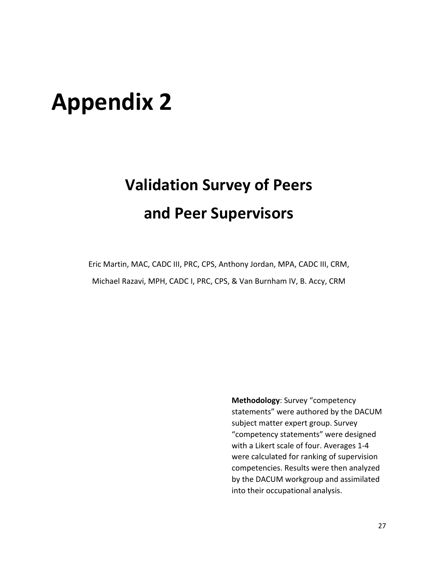## **Appendix 2**

## **Validation Survey of Peers and Peer Supervisors**

Eric Martin, MAC, CADC III, PRC, CPS, Anthony Jordan, MPA, CADC III, CRM, Michael Razavi, MPH, CADC I, PRC, CPS, & Van Burnham IV, B. Accy, CRM

> **Methodology**: Survey "competency statements" were authored by the DACUM subject matter expert group. Survey "competency statements" were designed with a Likert scale of four. Averages 1‐4 were calculated for ranking of supervision competencies. Results were then analyzed by the DACUM workgroup and assimilated into their occupational analysis.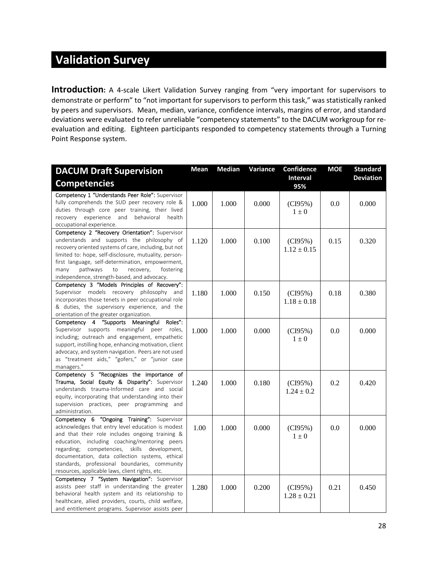## **Validation Survey**

**Introduction:** A 4-scale Likert Validation Survey ranging from "very important for supervisors to demonstrate or perform" to "not important for supervisors to perform this task," was statistically ranked by peers and supervisors. Mean, median, variance, confidence intervals, margins of error, and standard deviations were evaluated to refer unreliable "competency statements" to the DACUM workgroup for re‐ evaluation and editing. Eighteen participants responded to competency statements through a Turning Point Response system.

| <b>DACUM Draft Supervision</b>                         | <b>Mean</b> | <b>Median</b> | Variance | Confidence             | <b>MOE</b> | <b>Standard</b>  |
|--------------------------------------------------------|-------------|---------------|----------|------------------------|------------|------------------|
| <b>Competencies</b>                                    |             |               |          | <b>Interval</b><br>95% |            | <b>Deviation</b> |
| Competency 1 "Understands Peer Role": Supervisor       |             |               |          |                        |            |                  |
| fully comprehends the SUD peer recovery role &         | 1.000       | 1.000         | 0.000    | (CI95%)                | 0.0        | 0.000            |
| duties through core peer training, their lived         |             |               |          | $1 \pm 0$              |            |                  |
| recovery experience and<br>behavioral health           |             |               |          |                        |            |                  |
| occupational experience.                               |             |               |          |                        |            |                  |
| Competency 2 "Recovery Orientation": Supervisor        |             |               |          |                        |            |                  |
| understands and supports the philosophy of             | 1.120       | 1.000         | 0.100    | (CI95%)                | 0.15       | 0.320            |
| recovery oriented systems of care, including, but not  |             |               |          | $1.12 \pm 0.15$        |            |                  |
| limited to: hope, self-disclosure, mutuality, person-  |             |               |          |                        |            |                  |
| first language, self-determination, empowerment,       |             |               |          |                        |            |                  |
| pathways<br>recovery,<br>many<br>fostering<br>to       |             |               |          |                        |            |                  |
| independence, strength-based, and advocacy.            |             |               |          |                        |            |                  |
| Competency 3 "Models Principles of Recovery":          |             |               |          |                        |            |                  |
| Supervisor models recovery philosophy and              | 1.180       | 1.000         | 0.150    | (CI95%)                | 0.18       | 0.380            |
| incorporates those tenets in peer occupational role    |             |               |          | $1.18 \pm 0.18$        |            |                  |
| & duties, the supervisory experience, and the          |             |               |          |                        |            |                  |
| orientation of the greater organization.               |             |               |          |                        |            |                  |
| "Supports Meaningful<br>Roles":<br>Competency 4        |             |               |          |                        |            |                  |
| Supervisor supports meaningful peer roles,             | 1.000       | 1.000         | 0.000    | (CI95%)                | 0.0        | 0.000            |
| including; outreach and engagement, empathetic         |             |               |          | $1\pm 0$               |            |                  |
| support, instilling hope, enhancing motivation, client |             |               |          |                        |            |                  |
| advocacy, and system navigation. Peers are not used    |             |               |          |                        |            |                  |
| as "treatment aids," "gofers," or "junior case         |             |               |          |                        |            |                  |
| managers."                                             |             |               |          |                        |            |                  |
| Competency 5 "Recognizes the importance of             |             |               |          |                        |            |                  |
| Trauma, Social Equity & Disparity": Supervisor         | 1.240       | 1.000         | 0.180    | (CI95%)                | 0.2        | 0.420            |
| understands trauma-Informed care and social            |             |               |          | $1.24 \pm 0.2$         |            |                  |
| equity, incorporating that understanding into their    |             |               |          |                        |            |                  |
| supervision practices, peer programming and            |             |               |          |                        |            |                  |
| administration.                                        |             |               |          |                        |            |                  |
| Competency 6 "Ongoing Training": Supervisor            |             |               |          |                        |            |                  |
| acknowledges that entry level education is modest      | 1.00        | 1.000         | 0.000    | (CI95%)                | 0.0        | 0.000            |
| and that their role includes ongoing training &        |             |               |          | $1\pm 0$               |            |                  |
| education, including coaching/mentoring peers          |             |               |          |                        |            |                  |
| competencies, skills development,<br>regarding;        |             |               |          |                        |            |                  |
| documentation, data collection systems, ethical        |             |               |          |                        |            |                  |
| standards, professional boundaries, community          |             |               |          |                        |            |                  |
| resources, applicable laws, client rights, etc.        |             |               |          |                        |            |                  |
| Competency 7 "System Navigation": Supervisor           |             |               |          |                        |            |                  |
| assists peer staff in understanding the greater        | 1.280       | 1.000         | 0.200    | (CI95%)                | 0.21       | 0.450            |
| behavioral health system and its relationship to       |             |               |          | $1.28 \pm 0.21$        |            |                  |
| healthcare, allied providers, courts, child welfare,   |             |               |          |                        |            |                  |
| and entitlement programs. Supervisor assists peer      |             |               |          |                        |            |                  |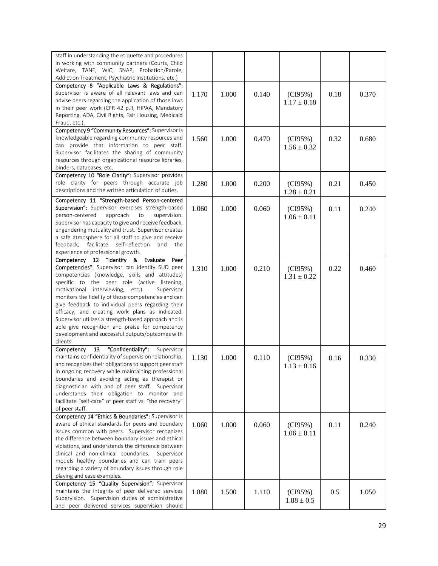| staff in understanding the etiquette and procedures                                                             |       |       |       |                 |      |       |
|-----------------------------------------------------------------------------------------------------------------|-------|-------|-------|-----------------|------|-------|
| in working with community partners (Courts, Child                                                               |       |       |       |                 |      |       |
| Welfare, TANF, WIC, SNAP, Probation/Parole,<br>Addiction Treatment, Psychiatric Institutions, etc.)             |       |       |       |                 |      |       |
| Competency 8 "Applicable Laws & Regulations":                                                                   |       |       |       |                 |      |       |
| Supervisor is aware of all relevant laws and can                                                                | 1.170 | 1.000 | 0.140 | (CI95%)         | 0.18 | 0.370 |
| advise peers regarding the application of those laws                                                            |       |       |       | $1.17 \pm 0.18$ |      |       |
| in their peer work (CFR 42 p.II, HIPAA, Mandatory                                                               |       |       |       |                 |      |       |
| Reporting, ADA, Civil Rights, Fair Housing, Medicaid                                                            |       |       |       |                 |      |       |
| Fraud, etc.).                                                                                                   |       |       |       |                 |      |       |
| Competency 9 "Community Resources": Supervisor is                                                               |       |       |       |                 |      |       |
| knowledgeable regarding community resources and                                                                 | 1.560 | 1.000 | 0.470 | (CI95%)         | 0.32 | 0.680 |
| can provide that information to peer staff.<br>Supervisor facilitates the sharing of community                  |       |       |       | $1.56 \pm 0.32$ |      |       |
| resources through organizational resource libraries,                                                            |       |       |       |                 |      |       |
| binders, databases, etc.                                                                                        |       |       |       |                 |      |       |
| Competency 10 "Role Clarity": Supervisor provides                                                               |       |       |       |                 |      |       |
| role clarity for peers through accurate job                                                                     | 1.280 | 1.000 | 0.200 | (CI95%)         | 0.21 | 0.450 |
| descriptions and the written articulation of duties.                                                            |       |       |       | $1.28 \pm 0.21$ |      |       |
| Competency 11 "Strength-based Person-centered                                                                   |       |       |       |                 |      |       |
| Supervision": Supervisor exercises strength-based                                                               | 1.060 | 1.000 | 0.060 | (CI95%)         | 0.11 | 0.240 |
| person-centered<br>approach<br>supervision.<br>to                                                               |       |       |       | $1.06 \pm 0.11$ |      |       |
| Supervisor has capacity to give and receive feedback,                                                           |       |       |       |                 |      |       |
| engendering mutuality and trust. Supervisor creates                                                             |       |       |       |                 |      |       |
| a safe atmosphere for all staff to give and receive<br>facilitate<br>self-reflection<br>feedback,<br>and<br>the |       |       |       |                 |      |       |
| experience of professional growth.                                                                              |       |       |       |                 |      |       |
| Competency 12 "Identify &<br>Evaluate<br>Peer                                                                   |       |       |       |                 |      |       |
| Competencies": Supervisor can identify SUD peer                                                                 | 1.310 | 1.000 | 0.210 | (CI95%)         | 0.22 | 0.460 |
| competencies (knowledge, skills and attitudes)                                                                  |       |       |       | $1.31 \pm 0.22$ |      |       |
| specific to the peer role (active listening,                                                                    |       |       |       |                 |      |       |
| motivational interviewing, etc.).<br>Supervisor                                                                 |       |       |       |                 |      |       |
| monitors the fidelity of those competencies and can                                                             |       |       |       |                 |      |       |
| give feedback to individual peers regarding their                                                               |       |       |       |                 |      |       |
| efficacy, and creating work plans as indicated.<br>Supervisor utilizes a strength-based approach and is         |       |       |       |                 |      |       |
| able give recognition and praise for competency                                                                 |       |       |       |                 |      |       |
| development and successful outputs/outcomes with                                                                |       |       |       |                 |      |       |
| clients.                                                                                                        |       |       |       |                 |      |       |
| "Confidentiality":<br>13<br>Competency<br>Supervisor                                                            |       |       |       |                 |      |       |
| maintains confidentiality of supervision relationship,                                                          | 1.130 | 1.000 | 0.110 | (CI95%)         | 0.16 | 0.330 |
| and recognizes their obligations to support peer staff                                                          |       |       |       | $1.13 \pm 0.16$ |      |       |
| in ongoing recovery while maintaining professional                                                              |       |       |       |                 |      |       |
| boundaries and avoiding acting as therapist or                                                                  |       |       |       |                 |      |       |
| diagnostician with and of peer staff. Supervisor<br>understands their obligation to monitor and                 |       |       |       |                 |      |       |
| facilitate "self-care" of peer staff vs. "the recovery"                                                         |       |       |       |                 |      |       |
| of peer staff.                                                                                                  |       |       |       |                 |      |       |
| Competency 14 "Ethics & Boundaries": Supervisor is                                                              |       |       |       |                 |      |       |
| aware of ethical standards for peers and boundary                                                               | 1.060 | 1.000 | 0.060 | (CI95%)         | 0.11 | 0.240 |
| issues common with peers. Supervisor recognizes                                                                 |       |       |       | $1.06 \pm 0.11$ |      |       |
| the difference between boundary issues and ethical                                                              |       |       |       |                 |      |       |
| violations, and understands the difference between                                                              |       |       |       |                 |      |       |
| clinical and non-clinical boundaries.<br>Supervisor<br>models healthy boundaries and can train peers            |       |       |       |                 |      |       |
| regarding a variety of boundary issues through role                                                             |       |       |       |                 |      |       |
| playing and case examples.                                                                                      |       |       |       |                 |      |       |
| Competency 15 "Quality Supervision": Supervisor                                                                 |       |       |       |                 |      |       |
| maintains the integrity of peer delivered services                                                              | 1.880 | 1.500 | 1.110 | (CI95%)         | 0.5  | 1.050 |
| Supervision. Supervision duties of administrative                                                               |       |       |       | $1.88 \pm 0.5$  |      |       |
| and peer delivered services supervision should                                                                  |       |       |       |                 |      |       |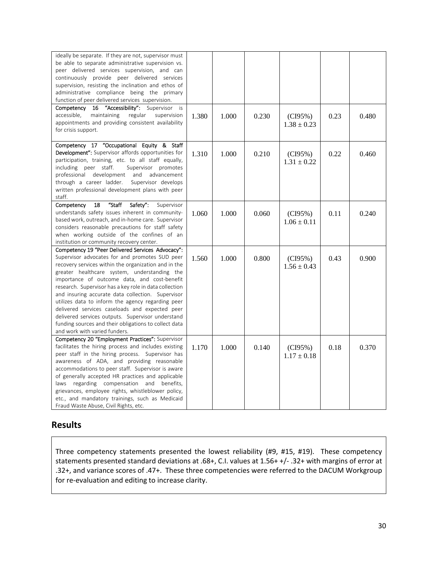| ideally be separate. If they are not, supervisor must     |       |       |       |                 |      |       |
|-----------------------------------------------------------|-------|-------|-------|-----------------|------|-------|
| be able to separate administrative supervision vs.        |       |       |       |                 |      |       |
| peer delivered services supervision, and can              |       |       |       |                 |      |       |
| continuously provide peer delivered services              |       |       |       |                 |      |       |
| supervision, resisting the inclination and ethos of       |       |       |       |                 |      |       |
| administrative compliance being the primary               |       |       |       |                 |      |       |
| function of peer delivered services supervision.          |       |       |       |                 |      |       |
| 16 "Accessibility": Supervisor is<br>Competency           |       |       |       |                 |      |       |
| accessible,<br>maintaining<br>regular<br>supervision      | 1.380 | 1.000 | 0.230 | (CI95%)         | 0.23 | 0.480 |
| appointments and providing consistent availability        |       |       |       | $1.38 \pm 0.23$ |      |       |
| for crisis support.                                       |       |       |       |                 |      |       |
|                                                           |       |       |       |                 |      |       |
| Competency 17 "Occupational Equity & Staff                |       |       |       |                 |      |       |
| <b>Development":</b> Supervisor affords opportunities for | 1.310 | 1.000 | 0.210 | (CI95%)         | 0.22 | 0.460 |
| participation, training, etc. to all staff equally,       |       |       |       | $1.31 \pm 0.22$ |      |       |
| including peer staff.<br>Supervisor promotes              |       |       |       |                 |      |       |
| professional development<br>and<br>advancement            |       |       |       |                 |      |       |
| through a career ladder.<br>Supervisor develops           |       |       |       |                 |      |       |
| written professional development plans with peer          |       |       |       |                 |      |       |
| staff.                                                    |       |       |       |                 |      |       |
| "Staff<br>Safety":<br>Competency<br>18<br>Supervisor      |       |       |       |                 |      |       |
| understands safety issues inherent in community-          |       |       |       |                 |      |       |
| based work, outreach, and in-home care. Supervisor        | 1.060 | 1.000 | 0.060 | (CI95%)         | 0.11 | 0.240 |
| considers reasonable precautions for staff safety         |       |       |       | $1.06 \pm 0.11$ |      |       |
|                                                           |       |       |       |                 |      |       |
| when working outside of the confines of an                |       |       |       |                 |      |       |
| institution or community recovery center.                 |       |       |       |                 |      |       |
| Competency 19 "Peer Delivered Services Advocacy":         |       |       |       |                 |      |       |
| Supervisor advocates for and promotes SUD peer            | 1.560 | 1.000 | 0.800 | (CI95%)         | 0.43 | 0.900 |
| recovery services within the organization and in the      |       |       |       | $1.56 \pm 0.43$ |      |       |
| greater healthcare system, understanding the              |       |       |       |                 |      |       |
| importance of outcome data, and cost-benefit              |       |       |       |                 |      |       |
| research. Supervisor has a key role in data collection    |       |       |       |                 |      |       |
| and insuring accurate data collection. Supervisor         |       |       |       |                 |      |       |
| utilizes data to inform the agency regarding peer         |       |       |       |                 |      |       |
| delivered services caseloads and expected peer            |       |       |       |                 |      |       |
| delivered services outputs. Supervisor understand         |       |       |       |                 |      |       |
| funding sources and their obligations to collect data     |       |       |       |                 |      |       |
| and work with varied funders.                             |       |       |       |                 |      |       |
| Competency 20 "Employment Practices": Supervisor          |       |       |       |                 |      |       |
| facilitates the hiring process and includes existing      | 1.170 | 1.000 | 0.140 | (CI95%)         | 0.18 | 0.370 |
| peer staff in the hiring process. Supervisor has          |       |       |       | $1.17 \pm 0.18$ |      |       |
| awareness of ADA, and providing reasonable                |       |       |       |                 |      |       |
| accommodations to peer staff. Supervisor is aware         |       |       |       |                 |      |       |
| of generally accepted HR practices and applicable         |       |       |       |                 |      |       |
| regarding compensation and benefits,<br>laws              |       |       |       |                 |      |       |
| grievances, employee rights, whistleblower policy,        |       |       |       |                 |      |       |
| etc., and mandatory trainings, such as Medicaid           |       |       |       |                 |      |       |
| Fraud Waste Abuse, Civil Rights, etc.                     |       |       |       |                 |      |       |

#### **Results**

Three competency statements presented the lowest reliability (#9, #15, #19). These competency statements presented standard deviations at .68+, C.I. values at 1.56+ +/‐ .32+ with margins of error at .32+, and variance scores of .47+. These three competencies were referred to the DACUM Workgroup for re‐evaluation and editing to increase clarity.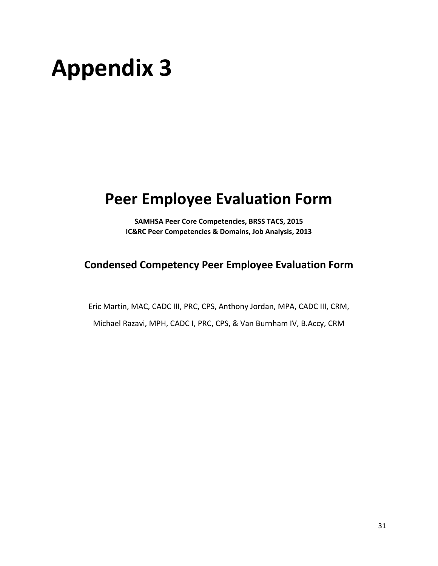## **Appendix 3**

## **Peer Employee Evaluation Form**

**SAMHSA Peer Core Competencies, BRSS TACS, 2015 IC&RC Peer Competencies & Domains, Job Analysis, 2013**

### **Condensed Competency Peer Employee Evaluation Form**

Eric Martin, MAC, CADC III, PRC, CPS, Anthony Jordan, MPA, CADC III, CRM,

Michael Razavi, MPH, CADC I, PRC, CPS, & Van Burnham IV, B.Accy, CRM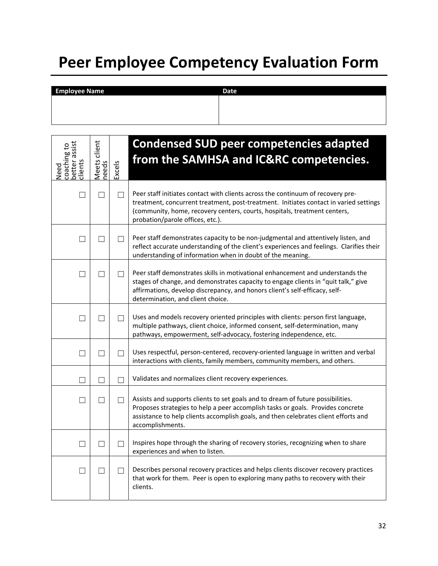## **Peer Employee Competency Evaluation Form**

| <b>Employee Name</b> | <b>Date</b> |
|----------------------|-------------|
|                      |             |
|                      |             |
|                      |             |

| better assist<br>coaching to<br>dients<br>Veed | Meets client<br>needs | Excels       | <b>Condensed SUD peer competencies adapted</b><br>from the SAMHSA and IC&RC competencies.                                                                                                                                                                                                 |
|------------------------------------------------|-----------------------|--------------|-------------------------------------------------------------------------------------------------------------------------------------------------------------------------------------------------------------------------------------------------------------------------------------------|
|                                                |                       |              | Peer staff initiates contact with clients across the continuum of recovery pre-<br>treatment, concurrent treatment, post-treatment. Initiates contact in varied settings<br>(community, home, recovery centers, courts, hospitals, treatment centers,<br>probation/parole offices, etc.). |
| $\vert \ \ \vert$                              | $\mathbf{I}$          |              | Peer staff demonstrates capacity to be non-judgmental and attentively listen, and<br>reflect accurate understanding of the client's experiences and feelings. Clarifies their<br>understanding of information when in doubt of the meaning.                                               |
| П                                              | $\vert \ \ \vert$     | $\Box$       | Peer staff demonstrates skills in motivational enhancement and understands the<br>stages of change, and demonstrates capacity to engage clients in "quit talk," give<br>affirmations, develop discrepancy, and honors client's self-efficacy, self-<br>determination, and client choice.  |
| $\Box$                                         |                       |              | Uses and models recovery oriented principles with clients: person first language,<br>multiple pathways, client choice, informed consent, self-determination, many<br>pathways, empowerment, self-advocacy, fostering independence, etc.                                                   |
| $\Box$                                         | $\mathsf{L}$          | $\mathsf{L}$ | Uses respectful, person-centered, recovery-oriented language in written and verbal<br>interactions with clients, family members, community members, and others.                                                                                                                           |
|                                                |                       |              | Validates and normalizes client recovery experiences.                                                                                                                                                                                                                                     |
|                                                |                       |              | Assists and supports clients to set goals and to dream of future possibilities.<br>Proposes strategies to help a peer accomplish tasks or goals. Provides concrete<br>assistance to help clients accomplish goals, and then celebrates client efforts and<br>accomplishments.             |
| $\vert \ \ \vert$                              |                       |              | Inspires hope through the sharing of recovery stories, recognizing when to share<br>experiences and when to listen.                                                                                                                                                                       |
| $\Box$                                         | $\mathbf{I}$          | $\Box$       | Describes personal recovery practices and helps clients discover recovery practices<br>that work for them. Peer is open to exploring many paths to recovery with their<br>clients.                                                                                                        |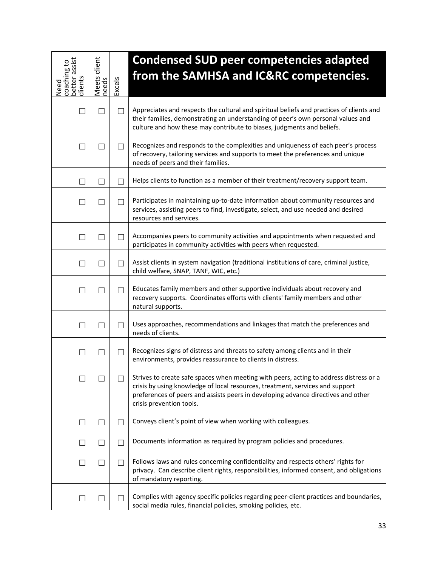| better assist<br>coaching to<br>clients<br>Need | Meets client<br>needs | Excels            | <b>Condensed SUD peer competencies adapted</b><br>from the SAMHSA and IC&RC competencies.                                                                                                                                                                                                |
|-------------------------------------------------|-----------------------|-------------------|------------------------------------------------------------------------------------------------------------------------------------------------------------------------------------------------------------------------------------------------------------------------------------------|
|                                                 |                       |                   | Appreciates and respects the cultural and spiritual beliefs and practices of clients and<br>their families, demonstrating an understanding of peer's own personal values and<br>culture and how these may contribute to biases, judgments and beliefs.                                   |
|                                                 |                       |                   | Recognizes and responds to the complexities and uniqueness of each peer's process<br>of recovery, tailoring services and supports to meet the preferences and unique<br>needs of peers and their families.                                                                               |
| ٠                                               |                       |                   | Helps clients to function as a member of their treatment/recovery support team.                                                                                                                                                                                                          |
| ×                                               |                       | $\vert \ \ \vert$ | Participates in maintaining up-to-date information about community resources and<br>services, assisting peers to find, investigate, select, and use needed and desired<br>resources and services.                                                                                        |
| $\mathcal{L}$                                   |                       | $\mathbf{L}$      | Accompanies peers to community activities and appointments when requested and<br>participates in community activities with peers when requested.                                                                                                                                         |
| $\perp$                                         |                       | $\Box$            | Assist clients in system navigation (traditional institutions of care, criminal justice,<br>child welfare, SNAP, TANF, WIC, etc.)                                                                                                                                                        |
| ×                                               |                       | $\vert \ \ \vert$ | Educates family members and other supportive individuals about recovery and<br>recovery supports. Coordinates efforts with clients' family members and other<br>natural supports.                                                                                                        |
|                                                 |                       |                   | Uses approaches, recommendations and linkages that match the preferences and<br>needs of clients.                                                                                                                                                                                        |
| ×                                               |                       |                   | Recognizes signs of distress and threats to safety among clients and in their<br>environments, provides reassurance to clients in distress.                                                                                                                                              |
|                                                 |                       | $\Box$            | Strives to create safe spaces when meeting with peers, acting to address distress or a<br>crisis by using knowledge of local resources, treatment, services and support<br>preferences of peers and assists peers in developing advance directives and other<br>crisis prevention tools. |
| ×                                               |                       |                   | Conveys client's point of view when working with colleagues.                                                                                                                                                                                                                             |
|                                                 |                       |                   | Documents information as required by program policies and procedures.                                                                                                                                                                                                                    |
| $\overline{\phantom{a}}$                        |                       |                   | Follows laws and rules concerning confidentiality and respects others' rights for<br>privacy. Can describe client rights, responsibilities, informed consent, and obligations<br>of mandatory reporting.                                                                                 |
|                                                 |                       |                   | Complies with agency specific policies regarding peer-client practices and boundaries,<br>social media rules, financial policies, smoking policies, etc.                                                                                                                                 |